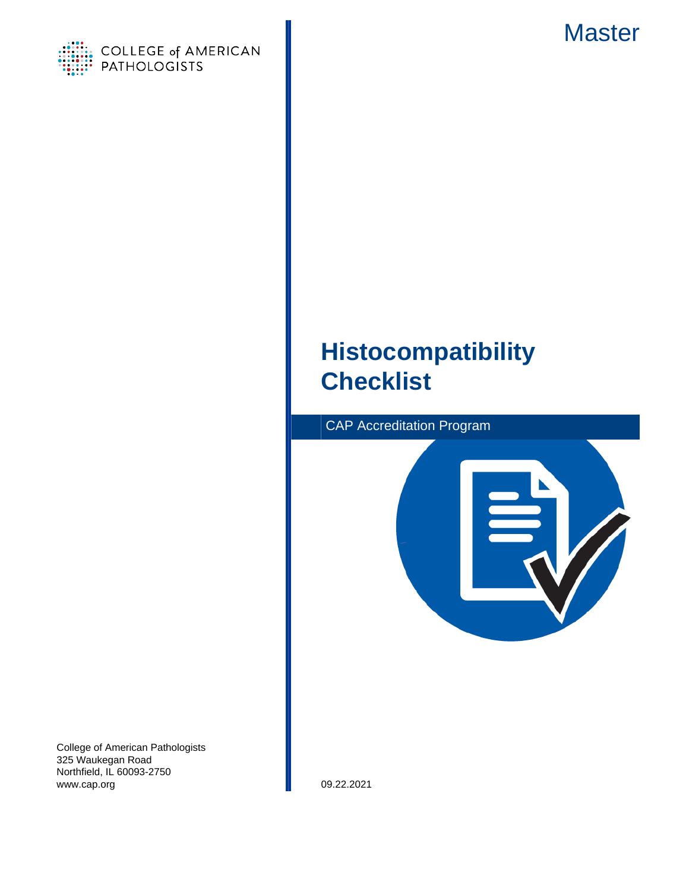



# **Histocompatibility Checklist**





College of American Pathologists 325 Waukegan Road Northfield, IL 60093-2750 www.cap.org 09.22.2021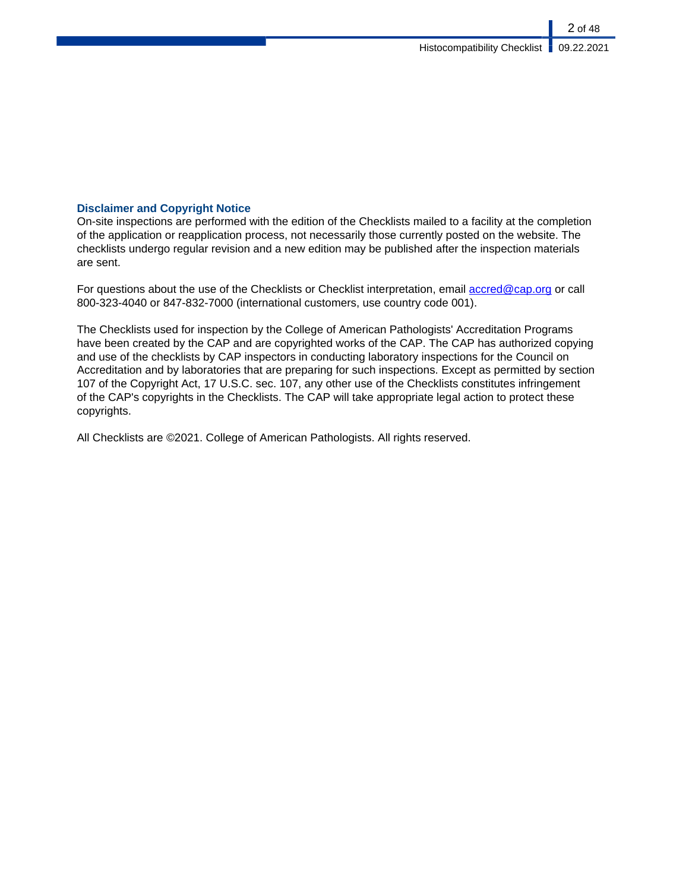### **Disclaimer and Copyright Notice**

On-site inspections are performed with the edition of the Checklists mailed to a facility at the completion of the application or reapplication process, not necessarily those currently posted on the website. The checklists undergo regular revision and a new edition may be published after the inspection materials are sent.

For questions about the use of the Checklists or Checklist interpretation, email [accred@cap.org](mailto:accred@cap.org) or call 800-323-4040 or 847-832-7000 (international customers, use country code 001).

The Checklists used for inspection by the College of American Pathologists' Accreditation Programs have been created by the CAP and are copyrighted works of the CAP. The CAP has authorized copying and use of the checklists by CAP inspectors in conducting laboratory inspections for the Council on Accreditation and by laboratories that are preparing for such inspections. Except as permitted by section 107 of the Copyright Act, 17 U.S.C. sec. 107, any other use of the Checklists constitutes infringement of the CAP's copyrights in the Checklists. The CAP will take appropriate legal action to protect these copyrights.

All Checklists are ©2021. College of American Pathologists. All rights reserved.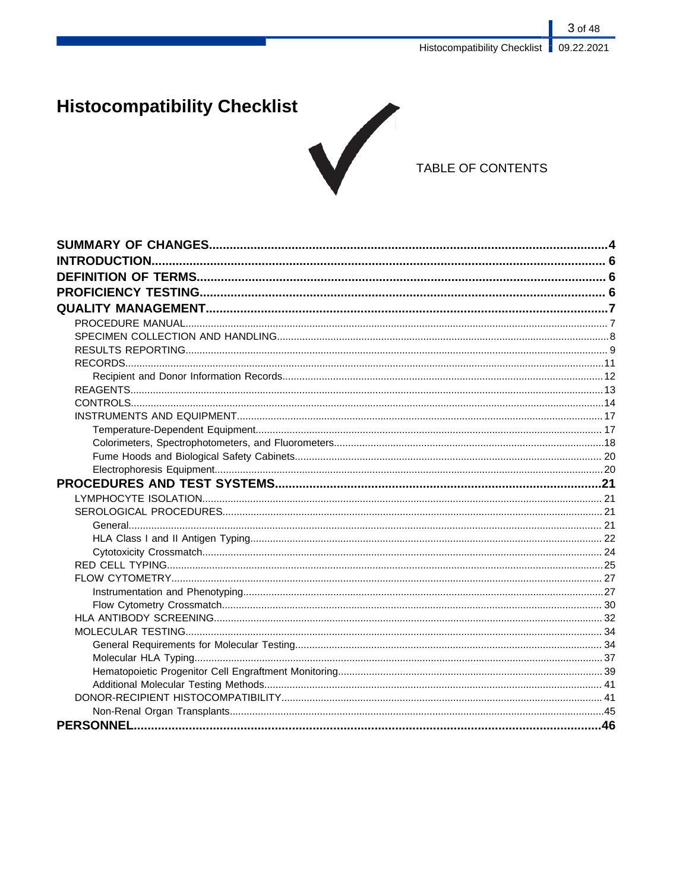Histocompatibility Checklist | 09.22.2021

3 of 48

# **Histocompatibility Checklist**



## TABLE OF CONTENTS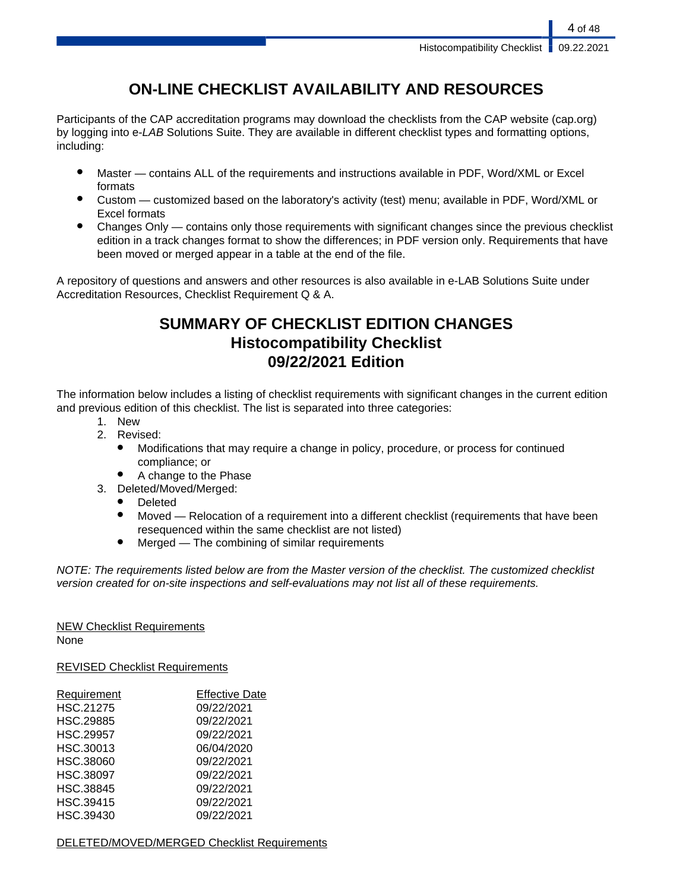## **ON-LINE CHECKLIST AVAILABILITY AND RESOURCES**

Participants of the CAP accreditation programs may download the checklists from the CAP website (cap.org) by logging into e-LAB Solutions Suite. They are available in different checklist types and formatting options, including:

- Master contains ALL of the requirements and instructions available in PDF, Word/XML or Excel formats
- Custom customized based on the laboratory's activity (test) menu; available in PDF, Word/XML or Excel formats
- Changes Only contains only those requirements with significant changes since the previous checklist edition in a track changes format to show the differences; in PDF version only. Requirements that have been moved or merged appear in a table at the end of the file.

A repository of questions and answers and other resources is also available in e-LAB Solutions Suite under Accreditation Resources, Checklist Requirement Q & A.

## **SUMMARY OF CHECKLIST EDITION CHANGES Histocompatibility Checklist 09/22/2021 Edition**

The information below includes a listing of checklist requirements with significant changes in the current edition and previous edition of this checklist. The list is separated into three categories:

- 1. New
- 2. Revised:
	- Modifications that may require a change in policy, procedure, or process for continued compliance; or
	- A change to the Phase
- 3. Deleted/Moved/Merged:
	- Deleted
	- Moved Relocation of a requirement into a different checklist (requirements that have been resequenced within the same checklist are not listed)
	- $Mered$  The combining of similar requirements

NOTE: The requirements listed below are from the Master version of the checklist. The customized checklist version created for on-site inspections and self-evaluations may not list all of these requirements.

## NEW Checklist Requirements

None

REVISED Checklist Requirements

| Requirement      | <b>Effective Date</b> |
|------------------|-----------------------|
| HSC.21275        | 09/22/2021            |
| HSC.29885        | 09/22/2021            |
| <b>HSC.29957</b> | 09/22/2021            |
| HSC.30013        | 06/04/2020            |
| HSC.38060        | 09/22/2021            |
| <b>HSC.38097</b> | 09/22/2021            |
| <b>HSC.38845</b> | 09/22/2021            |
| HSC.39415        | 09/22/2021            |
| HSC.39430        | 09/22/2021            |

### DELETED/MOVED/MERGED Checklist Requirements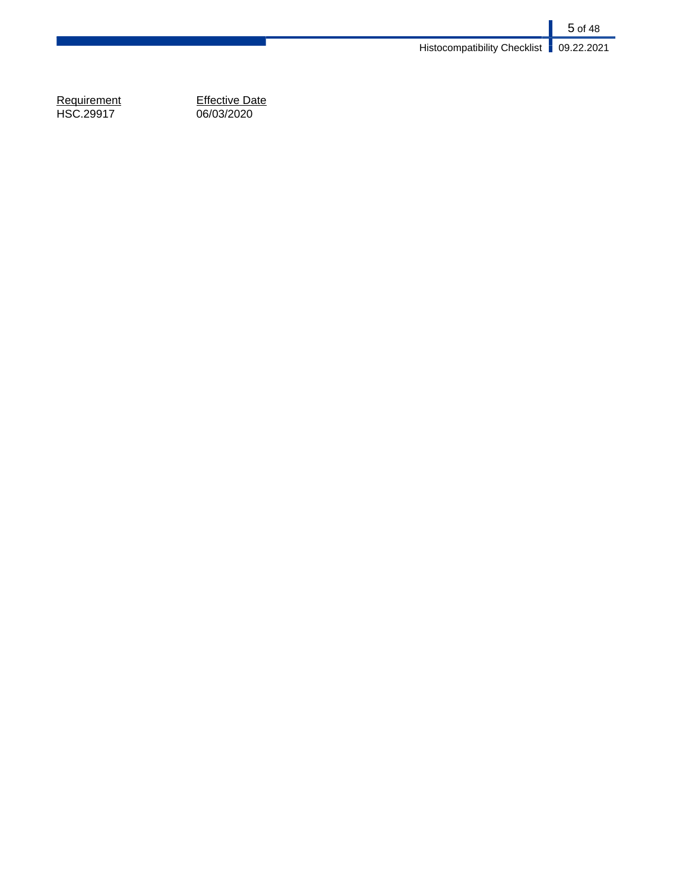5 of 48 Histocompatibility Checklist **09.22.2021** 

Requirement<br>HSC.29917

Effective Date<br>06/03/2020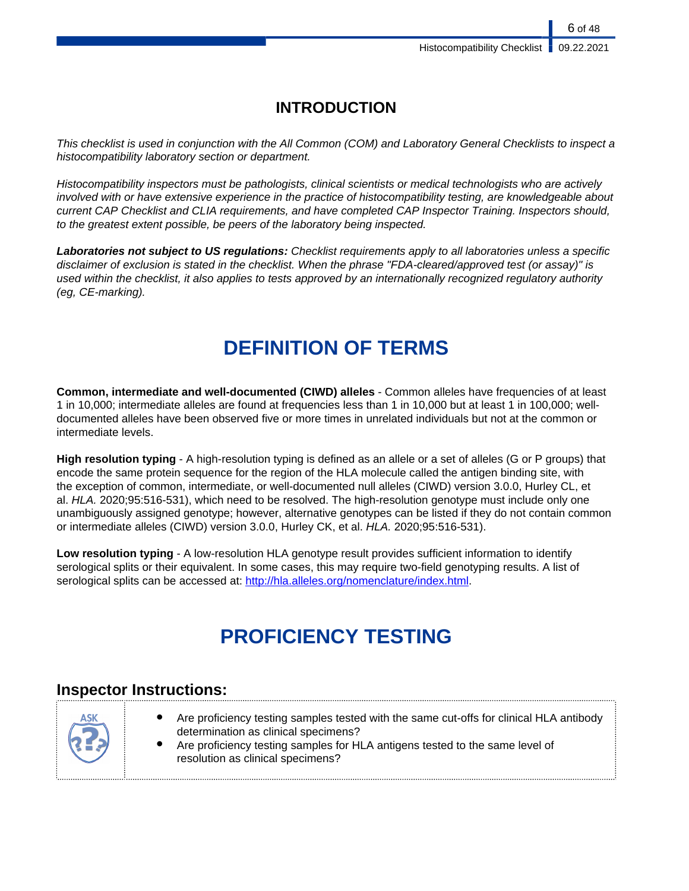## **INTRODUCTION**

This checklist is used in conjunction with the All Common (COM) and Laboratory General Checklists to inspect a histocompatibility laboratory section or department.

Histocompatibility inspectors must be pathologists, clinical scientists or medical technologists who are actively involved with or have extensive experience in the practice of histocompatibility testing, are knowledgeable about current CAP Checklist and CLIA requirements, and have completed CAP Inspector Training. Inspectors should, to the greatest extent possible, be peers of the laboratory being inspected.

**Laboratories not subject to US regulations:** Checklist requirements apply to all laboratories unless a specific disclaimer of exclusion is stated in the checklist. When the phrase "FDA-cleared/approved test (or assay)" is used within the checklist, it also applies to tests approved by an internationally recognized regulatory authority (eg, CE-marking).

# **DEFINITION OF TERMS**

**Common, intermediate and well-documented (CIWD) alleles** - Common alleles have frequencies of at least 1 in 10,000; intermediate alleles are found at frequencies less than 1 in 10,000 but at least 1 in 100,000; welldocumented alleles have been observed five or more times in unrelated individuals but not at the common or intermediate levels.

**High resolution typing** - A high-resolution typing is defined as an allele or a set of alleles (G or P groups) that encode the same protein sequence for the region of the HLA molecule called the antigen binding site, with the exception of common, intermediate, or well-documented null alleles (CIWD) version 3.0.0, Hurley CL, et al. HLA. 2020;95:516-531), which need to be resolved. The high-resolution genotype must include only one unambiguously assigned genotype; however, alternative genotypes can be listed if they do not contain common or intermediate alleles (CIWD) version 3.0.0, Hurley CK, et al. HLA. 2020;95:516-531).

**Low resolution typing** - A low-resolution HLA genotype result provides sufficient information to identify serological splits or their equivalent. In some cases, this may require two-field genotyping results. A list of serological splits can be accessed at: [http://hla.alleles.org/nomenclature/index.html.](http://hla.alleles.org/nomenclature/index.html)

# **PROFICIENCY TESTING**

## **Inspector Instructions:**

| Are proficiency testing samples tested with the same cut-offs for clinical HLA antibody<br><b>ASK</b><br>determination as clinical specimens?<br>Are proficiency testing samples for HLA antigens tested to the same level of<br>resolution as clinical specimens? |
|--------------------------------------------------------------------------------------------------------------------------------------------------------------------------------------------------------------------------------------------------------------------|
|--------------------------------------------------------------------------------------------------------------------------------------------------------------------------------------------------------------------------------------------------------------------|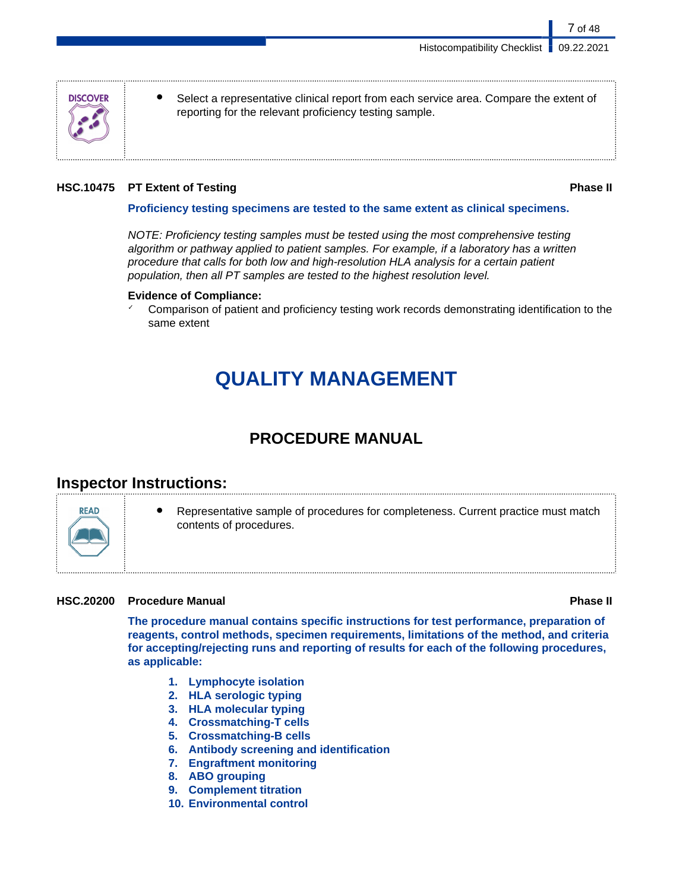

Select a representative clinical report from each service area. Compare the extent of reporting for the relevant proficiency testing sample.

### **HSC.10475 PT Extent of Testing Phase II**

7 of 48

#### **Proficiency testing specimens are tested to the same extent as clinical specimens.**

NOTE: Proficiency testing samples must be tested using the most comprehensive testing algorithm or pathway applied to patient samples. For example, if a laboratory has a written procedure that calls for both low and high-resolution HLA analysis for a certain patient population, then all PT samples are tested to the highest resolution level.

#### **Evidence of Compliance:**

Comparison of patient and proficiency testing work records demonstrating identification to the same extent

# **QUALITY MANAGEMENT**

## **PROCEDURE MANUAL**

## **Inspector Instructions:**



Representative sample of procedures for completeness. Current practice must match contents of procedures.

### **HSC.20200 Procedure Manual Phase II**

**The procedure manual contains specific instructions for test performance, preparation of reagents, control methods, specimen requirements, limitations of the method, and criteria for accepting/rejecting runs and reporting of results for each of the following procedures, as applicable:**

- **1. Lymphocyte isolation**
- **2. HLA serologic typing**
- **3. HLA molecular typing**
- **4. Crossmatching-T cells**
- **5. Crossmatching-B cells**
- **6. Antibody screening and identification**
- **7. Engraftment monitoring**
- **8. ABO grouping**
- **9. Complement titration**
- **10. Environmental control**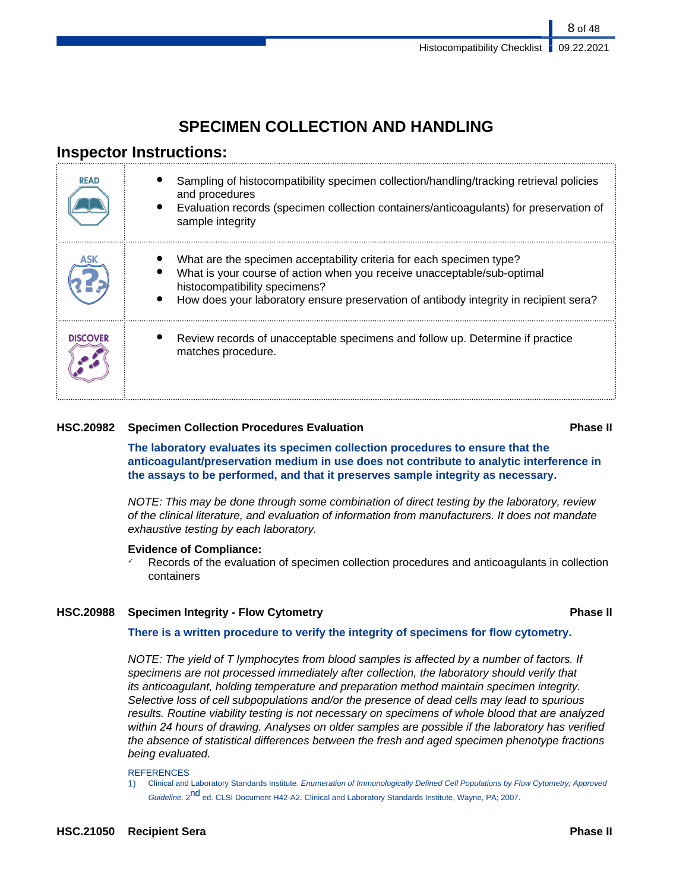8 of 48

## **SPECIMEN COLLECTION AND HANDLING**

## **Inspector Instructions:**

| <b>READ</b>     | Sampling of histocompatibility specimen collection/handling/tracking retrieval policies<br>and procedures<br>Evaluation records (specimen collection containers/anticoagulants) for preservation of<br>sample integrity                                                   |
|-----------------|---------------------------------------------------------------------------------------------------------------------------------------------------------------------------------------------------------------------------------------------------------------------------|
|                 | What are the specimen acceptability criteria for each specimen type?<br>What is your course of action when you receive unacceptable/sub-optimal<br>histocompatibility specimens?<br>How does your laboratory ensure preservation of antibody integrity in recipient sera? |
| <b>DISCOVER</b> | Review records of unacceptable specimens and follow up. Determine if practice<br>matches procedure.                                                                                                                                                                       |

### **HSC.20982 Specimen Collection Procedures Evaluation Phase II**

**The laboratory evaluates its specimen collection procedures to ensure that the anticoagulant/preservation medium in use does not contribute to analytic interference in the assays to be performed, and that it preserves sample integrity as necessary.**

NOTE: This may be done through some combination of direct testing by the laboratory, review of the clinical literature, and evaluation of information from manufacturers. It does not mandate exhaustive testing by each laboratory.

### **Evidence of Compliance:**

Records of the evaluation of specimen collection procedures and anticoagulants in collection containers

### **HSC.20988 Specimen Integrity - Flow Cytometry Phase II**

### **There is a written procedure to verify the integrity of specimens for flow cytometry.**

NOTE: The yield of T lymphocytes from blood samples is affected by a number of factors. If specimens are not processed immediately after collection, the laboratory should verify that its anticoagulant, holding temperature and preparation method maintain specimen integrity. Selective loss of cell subpopulations and/or the presence of dead cells may lead to spurious results. Routine viability testing is not necessary on specimens of whole blood that are analyzed within 24 hours of drawing. Analyses on older samples are possible if the laboratory has verified the absence of statistical differences between the fresh and aged specimen phenotype fractions being evaluated.

#### **REFERENCES**

1) Clinical and Laboratory Standards Institute. Enumeration of Immunologically Defined Cell Populations by Flow Cytometry; Approved Guideline. 2<sup>nd</sup> ed. CLSI Document H42-A2. Clinical and Laboratory Standards Institute, Wayne, PA; 2007.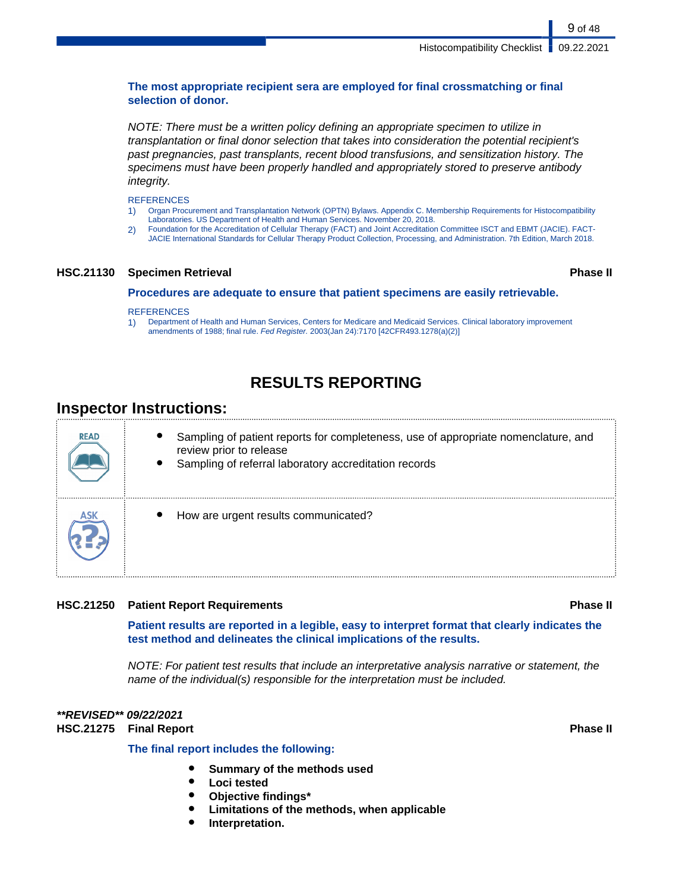### **The most appropriate recipient sera are employed for final crossmatching or final selection of donor.**

NOTE: There must be a written policy defining an appropriate specimen to utilize in transplantation or final donor selection that takes into consideration the potential recipient's past pregnancies, past transplants, recent blood transfusions, and sensitization history. The specimens must have been properly handled and appropriately stored to preserve antibody integrity.

**REFERENCES** 

- 1) Organ Procurement and Transplantation Network (OPTN) Bylaws. Appendix C. Membership Requirements for Histocompatibility Laboratories. US Department of Health and Human Services. November 20, 2018.
- 2) Foundation for the Accreditation of Cellular Therapy (FACT) and Joint Accreditation Committee ISCT and EBMT (JACIE). FACT-JACIE International Standards for Cellular Therapy Product Collection, Processing, and Administration. 7th Edition, March 2018.

#### **HSC.21130 Specimen Retrieval Phase II**

**Procedures are adequate to ensure that patient specimens are easily retrievable.**

#### **REFERENCES**

1) Department of Health and Human Services, Centers for Medicare and Medicaid Services. Clinical laboratory improvement amendments of 1988; final rule. Fed Register. 2003(Jan 24):7170 [42CFR493.1278(a)(2)]

## **RESULTS REPORTING**

## **Inspector Instructions:**

| <b>READ</b> | Sampling of patient reports for completeness, use of appropriate nomenclature, and<br>review prior to release<br>Sampling of referral laboratory accreditation records |
|-------------|------------------------------------------------------------------------------------------------------------------------------------------------------------------------|
|             | How are urgent results communicated?                                                                                                                                   |

### **HSC.21250 Patient Report Requirements Phase II**

**Patient results are reported in a legible, easy to interpret format that clearly indicates the test method and delineates the clinical implications of the results.**

NOTE: For patient test results that include an interpretative analysis narrative or statement, the name of the individual(s) responsible for the interpretation must be included.

#### **\*\*REVISED\*\* 09/22/2021 HSC.21275 Final Report Phase II**

### **The final report includes the following:**

- **Summary of the methods used**
- **Loci tested**
- **Objective findings\***
- **Limitations of the methods, when applicable**
- **Interpretation.**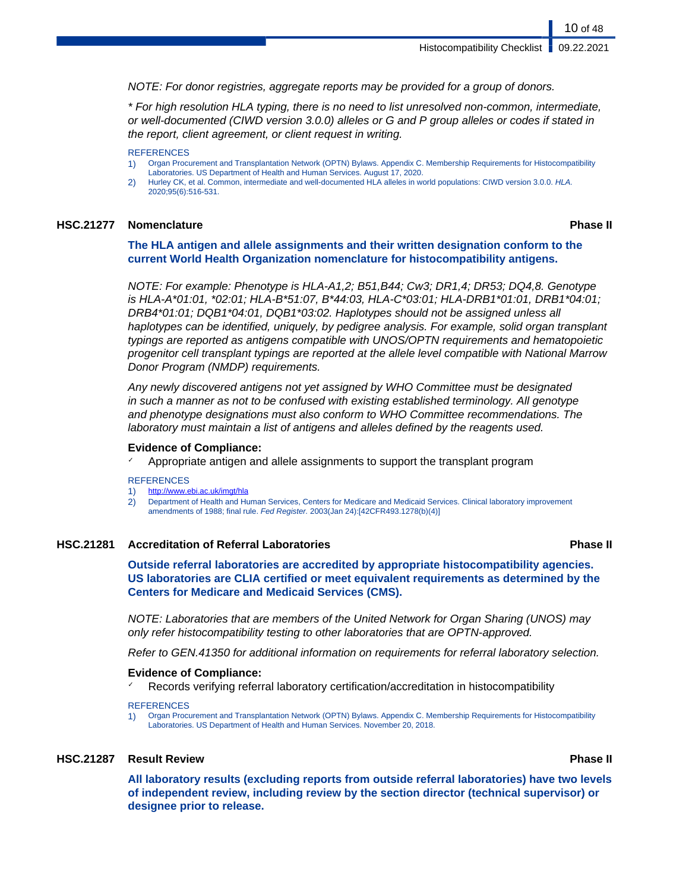NOTE: For donor registries, aggregate reports may be provided for a group of donors.

\* For high resolution HLA typing, there is no need to list unresolved non-common, intermediate, or well-documented (CIWD version 3.0.0) alleles or G and P group alleles or codes if stated in the report, client agreement, or client request in writing.

#### **REFERENCES**

- 1) Organ Procurement and Transplantation Network (OPTN) Bylaws. Appendix C. Membership Requirements for Histocompatibility Laboratories. US Department of Health and Human Services. August 17, 2020.
- 2) Hurley CK, et al. Common, intermediate and well-documented HLA alleles in world populations: CIWD version 3.0.0. HLA. 2020;95(6):516-531.

#### **HSC.21277 Nomenclature Phase II**

10 of 48

**The HLA antigen and allele assignments and their written designation conform to the current World Health Organization nomenclature for histocompatibility antigens.**

NOTE: For example: Phenotype is HLA-A1,2; B51,B44; Cw3; DR1,4; DR53; DQ4,8. Genotype is HLA-A\*01:01, \*02:01; HLA-B\*51:07, B\*44:03, HLA-C\*03:01; HLA-DRB1\*01:01, DRB1\*04:01; DRB4\*01:01; DQB1\*04:01, DQB1\*03:02. Haplotypes should not be assigned unless all haplotypes can be identified, uniquely, by pedigree analysis. For example, solid organ transplant typings are reported as antigens compatible with UNOS/OPTN requirements and hematopoietic progenitor cell transplant typings are reported at the allele level compatible with National Marrow Donor Program (NMDP) requirements.

Any newly discovered antigens not yet assigned by WHO Committee must be designated in such a manner as not to be confused with existing established terminology. All genotype and phenotype designations must also conform to WHO Committee recommendations. The laboratory must maintain a list of antigens and alleles defined by the reagents used.

#### **Evidence of Compliance:**

Appropriate antigen and allele assignments to support the transplant program

#### **REFERENCES**

- 1) <http://www.ebi.ac.uk/imgt/hla>
- 2) Department of Health and Human Services, Centers for Medicare and Medicaid Services. Clinical laboratory improvement amendments of 1988; final rule. Fed Register. 2003(Jan 24):[42CFR493.1278(b)(4)]

#### **HSC.21281 Accreditation of Referral Laboratories Phase II**

**Outside referral laboratories are accredited by appropriate histocompatibility agencies. US laboratories are CLIA certified or meet equivalent requirements as determined by the Centers for Medicare and Medicaid Services (CMS).**

NOTE: Laboratories that are members of the United Network for Organ Sharing (UNOS) may only refer histocompatibility testing to other laboratories that are OPTN-approved.

Refer to GEN.41350 for additional information on requirements for referral laboratory selection.

#### **Evidence of Compliance:**

Records verifying referral laboratory certification/accreditation in histocompatibility

#### **REFERENCES**

1) Organ Procurement and Transplantation Network (OPTN) Bylaws. Appendix C. Membership Requirements for Histocompatibility Laboratories. US Department of Health and Human Services. November 20, 2018.

#### **HSC.21287 Result Review Phase II**

**All laboratory results (excluding reports from outside referral laboratories) have two levels of independent review, including review by the section director (technical supervisor) or designee prior to release.**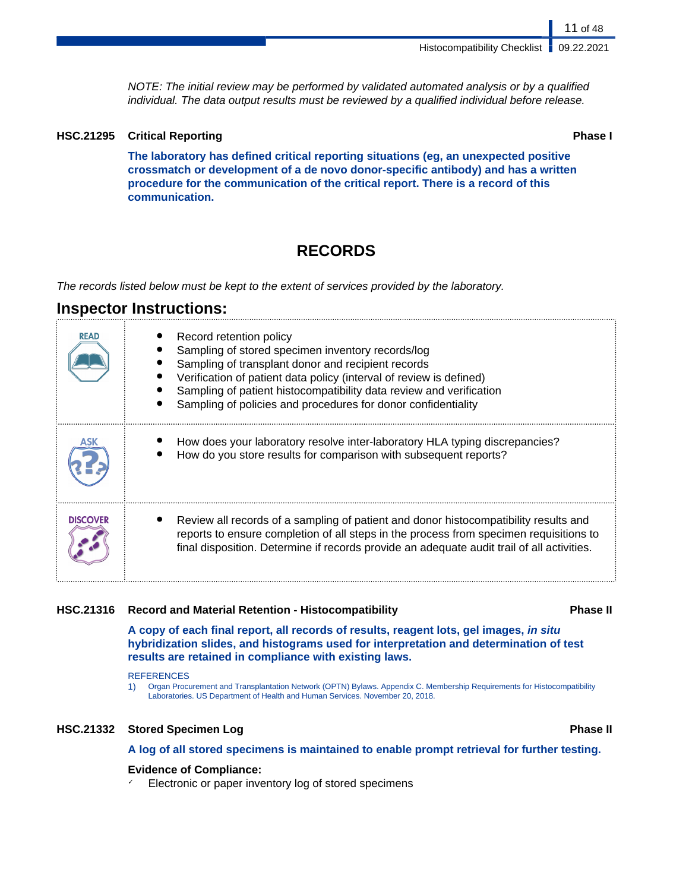NOTE: The initial review may be performed by validated automated analysis or by a qualified individual. The data output results must be reviewed by a qualified individual before release.

### **HSC.21295 Critical Reporting Phase I**

**The laboratory has defined critical reporting situations (eg, an unexpected positive crossmatch or development of a de novo donor-specific antibody) and has a written procedure for the communication of the critical report. There is a record of this communication.**

## **RECORDS**

The records listed below must be kept to the extent of services provided by the laboratory.

### **Inspector Instructions:**

| <b>READ</b>     | Record retention policy<br>Sampling of stored specimen inventory records/log<br>Sampling of transplant donor and recipient records<br>Verification of patient data policy (interval of review is defined)<br>Sampling of patient histocompatibility data review and verification<br>Sampling of policies and procedures for donor confidentiality |
|-----------------|---------------------------------------------------------------------------------------------------------------------------------------------------------------------------------------------------------------------------------------------------------------------------------------------------------------------------------------------------|
|                 | How does your laboratory resolve inter-laboratory HLA typing discrepancies?<br>How do you store results for comparison with subsequent reports?                                                                                                                                                                                                   |
| <b>DISCOVER</b> | Review all records of a sampling of patient and donor histocompatibility results and<br>reports to ensure completion of all steps in the process from specimen requisitions to<br>final disposition. Determine if records provide an adequate audit trail of all activities.                                                                      |

### **HSC.21316 Record and Material Retention - Histocompatibility Phase II**

**A copy of each final report, all records of results, reagent lots, gel images, in situ hybridization slides, and histograms used for interpretation and determination of test results are retained in compliance with existing laws.**

#### **REFERENCES**

1) Organ Procurement and Transplantation Network (OPTN) Bylaws. Appendix C. Membership Requirements for Histocompatibility Laboratories. US Department of Health and Human Services. November 20, 2018.

#### **HSC.21332 Stored Specimen Log Phase II**

**A log of all stored specimens is maintained to enable prompt retrieval for further testing.**

### **Evidence of Compliance:**

✓ Electronic or paper inventory log of stored specimens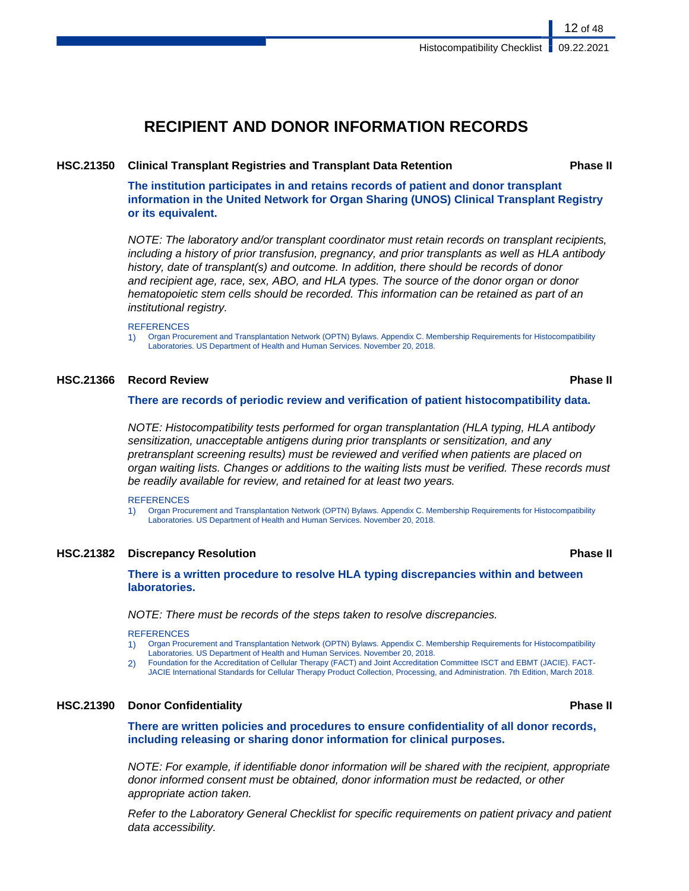## **RECIPIENT AND DONOR INFORMATION RECORDS**

#### **HSC.21350 Clinical Transplant Registries and Transplant Data Retention Phase II**

**The institution participates in and retains records of patient and donor transplant information in the United Network for Organ Sharing (UNOS) Clinical Transplant Registry or its equivalent.**

NOTE: The laboratory and/or transplant coordinator must retain records on transplant recipients, including a history of prior transfusion, pregnancy, and prior transplants as well as HLA antibody history, date of transplant(s) and outcome. In addition, there should be records of donor and recipient age, race, sex, ABO, and HLA types. The source of the donor organ or donor hematopoietic stem cells should be recorded. This information can be retained as part of an institutional registry.

#### REFERENCES

1) Organ Procurement and Transplantation Network (OPTN) Bylaws. Appendix C. Membership Requirements for Histocompatibility Laboratories. US Department of Health and Human Services. November 20, 2018.

#### **HSC.21366 Record Review Phase II**

#### **There are records of periodic review and verification of patient histocompatibility data.**

NOTE: Histocompatibility tests performed for organ transplantation (HLA typing, HLA antibody sensitization, unacceptable antigens during prior transplants or sensitization, and any pretransplant screening results) must be reviewed and verified when patients are placed on organ waiting lists. Changes or additions to the waiting lists must be verified. These records must be readily available for review, and retained for at least two years.

**REFERENCES** 

1) Organ Procurement and Transplantation Network (OPTN) Bylaws. Appendix C. Membership Requirements for Histocompatibility Laboratories. US Department of Health and Human Services. November 20, 2018.

#### **HSC.21382 Discrepancy Resolution Phase II**

**There is a written procedure to resolve HLA typing discrepancies within and between laboratories.**

NOTE: There must be records of the steps taken to resolve discrepancies.

#### **REFERENCES**

- 1) Organ Procurement and Transplantation Network (OPTN) Bylaws. Appendix C. Membership Requirements for Histocompatibility Laboratories. US Department of Health and Human Services. November 20, 2018.
- 2) Foundation for the Accreditation of Cellular Therapy (FACT) and Joint Accreditation Committee ISCT and EBMT (JACIE). FACT-JACIE International Standards for Cellular Therapy Product Collection, Processing, and Administration. 7th Edition, March 2018.

#### **HSC.21390 Donor Confidentiality Phase II**

**There are written policies and procedures to ensure confidentiality of all donor records, including releasing or sharing donor information for clinical purposes.**

NOTE: For example, if identifiable donor information will be shared with the recipient, appropriate donor informed consent must be obtained, donor information must be redacted, or other appropriate action taken.

Refer to the Laboratory General Checklist for specific requirements on patient privacy and patient data accessibility.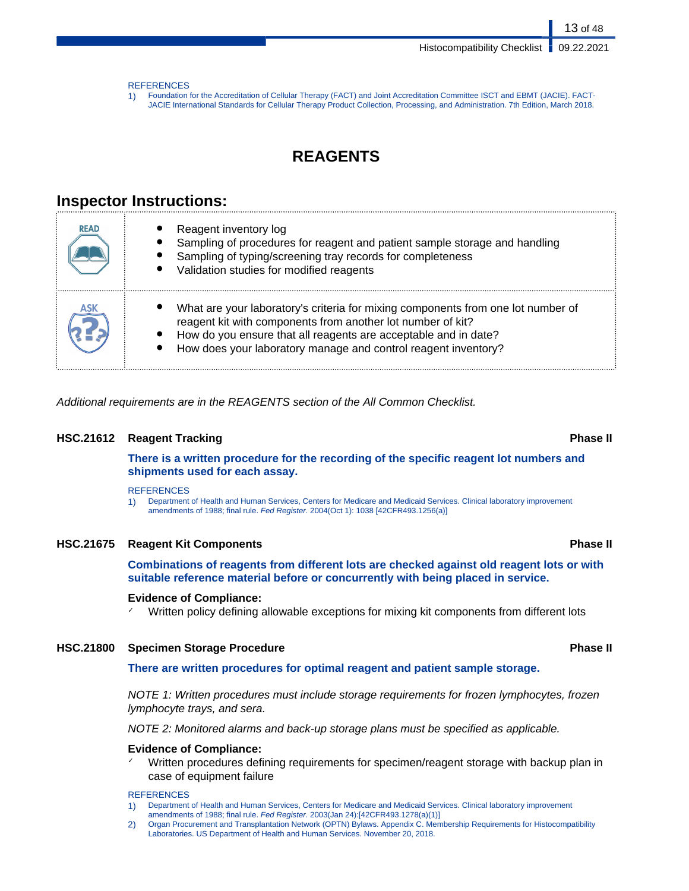13 of 48

#### **REFERENCES**

1) Foundation for the Accreditation of Cellular Therapy (FACT) and Joint Accreditation Committee ISCT and EBMT (JACIE). FACT-JACIE International Standards for Cellular Therapy Product Collection, Processing, and Administration. 7th Edition, March 2018.

## **REAGENTS**

## **Inspector Instructions:**

| <b>READ</b> | Reagent inventory log<br>Sampling of procedures for reagent and patient sample storage and handling<br>Sampling of typing/screening tray records for completeness<br>Validation studies for modified reagents                                                                        |
|-------------|--------------------------------------------------------------------------------------------------------------------------------------------------------------------------------------------------------------------------------------------------------------------------------------|
|             | What are your laboratory's criteria for mixing components from one lot number of<br>reagent kit with components from another lot number of kit?<br>How do you ensure that all reagents are acceptable and in date?<br>How does your laboratory manage and control reagent inventory? |

Additional requirements are in the REAGENTS section of the All Common Checklist.

#### **HSC.21612 Reagent Tracking Phase II**

**There is a written procedure for the recording of the specific reagent lot numbers and shipments used for each assay.**

#### **REFERENCES**

1) Department of Health and Human Services, Centers for Medicare and Medicaid Services. Clinical laboratory improvement amendments of 1988; final rule. Fed Register. 2004(Oct 1): 1038 [42CFR493.1256(a)]

#### **HSC.21675 Reagent Kit Components Phase II**

**Combinations of reagents from different lots are checked against old reagent lots or with suitable reference material before or concurrently with being placed in service.**

#### **Evidence of Compliance:**

Written policy defining allowable exceptions for mixing kit components from different lots

#### **HSC.21800 Specimen Storage Procedure Phase II**

#### **There are written procedures for optimal reagent and patient sample storage.**

NOTE 1: Written procedures must include storage requirements for frozen lymphocytes, frozen lymphocyte trays, and sera.

NOTE 2: Monitored alarms and back-up storage plans must be specified as applicable.

#### **Evidence of Compliance:**

✓ Written procedures defining requirements for specimen/reagent storage with backup plan in case of equipment failure

#### **REFERENCES**

- 1) Department of Health and Human Services, Centers for Medicare and Medicaid Services. Clinical laboratory improvement amendments of 1988; final rule. Fed Register. 2003(Jan 24):[42CFR493.1278(a)(1)]
- 2) Organ Procurement and Transplantation Network (OPTN) Bylaws. Appendix C. Membership Requirements for Histocompatibility Laboratories. US Department of Health and Human Services. November 20, 2018.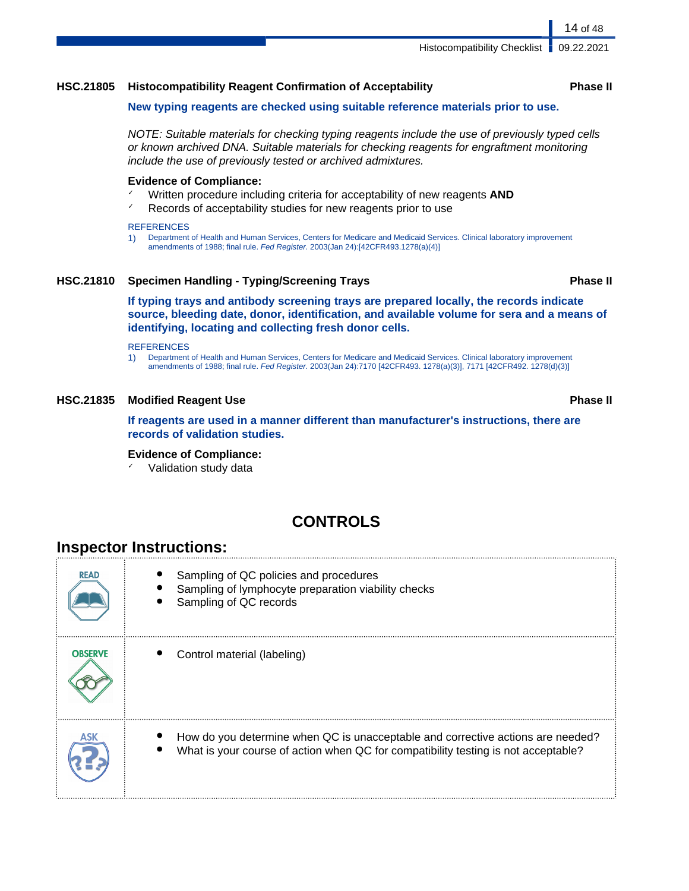Histocompatibility Checklist | 09.22.2021

### **HSC.21805 Histocompatibility Reagent Confirmation of Acceptability Phase II**

#### **New typing reagents are checked using suitable reference materials prior to use.**

NOTE: Suitable materials for checking typing reagents include the use of previously typed cells or known archived DNA. Suitable materials for checking reagents for engraftment monitoring include the use of previously tested or archived admixtures.

#### **Evidence of Compliance:**

- Written procedure including criteria for acceptability of new reagents **AND**
- $\chi$  Records of acceptability studies for new reagents prior to use

#### **REFERENCES**

1) Department of Health and Human Services, Centers for Medicare and Medicaid Services. Clinical laboratory improvement amendments of 1988; final rule. Fed Register. 2003(Jan 24):[42CFR493.1278(a)(4)]

### **HSC.21810 Specimen Handling - Typing/Screening Trays Phase II**

**If typing trays and antibody screening trays are prepared locally, the records indicate source, bleeding date, donor, identification, and available volume for sera and a means of identifying, locating and collecting fresh donor cells.**

#### **REFERENCES**

1) Department of Health and Human Services, Centers for Medicare and Medicaid Services. Clinical laboratory improvement amendments of 1988; final rule. Fed Register. 2003(Jan 24):7170 [42CFR493. 1278(a)(3)], 7171 [42CFR492. 1278(d)(3)]

### **HSC.21835 Modified Reagent Use Phase II**

**If reagents are used in a manner different than manufacturer's instructions, there are records of validation studies.**

### **Evidence of Compliance:**

✓ Validation study data

## **CONTROLS**

## **Inspector Instructions:**

**READ** Sampling of QC policies and procedures Sampling of lymphocyte preparation viability checks Sampling of QC records **ORSERVE** Control material (labeling) How do you determine when QC is unacceptable and corrective actions are needed? What is your course of action when QC for compatibility testing is not acceptable?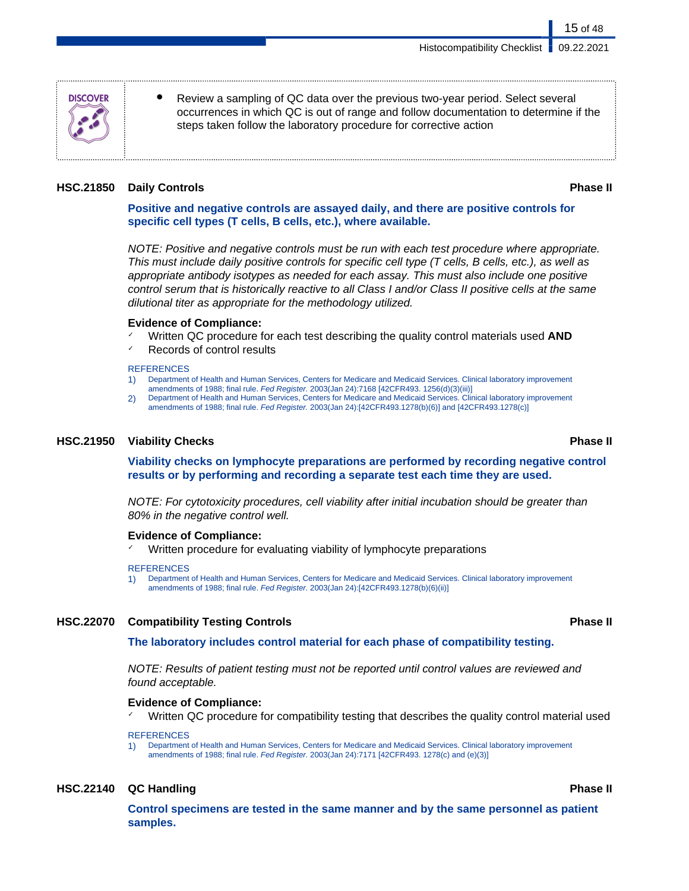occurrences in which QC is out of range and follow documentation to determine if the steps taken follow the laboratory procedure for corrective action

### **HSC.21850 Daily Controls Phase II**

**DISCOVER** 

### **Positive and negative controls are assayed daily, and there are positive controls for specific cell types (T cells, B cells, etc.), where available.**

Review a sampling of QC data over the previous two-year period. Select several

NOTE: Positive and negative controls must be run with each test procedure where appropriate. This must include daily positive controls for specific cell type (T cells, B cells, etc.), as well as appropriate antibody isotypes as needed for each assay. This must also include one positive control serum that is historically reactive to all Class I and/or Class II positive cells at the same dilutional titer as appropriate for the methodology utilized.

#### **Evidence of Compliance:**

- ✓ Written QC procedure for each test describing the quality control materials used **AND**
- Records of control results

#### **REFERENCES**

- 1) Department of Health and Human Services, Centers for Medicare and Medicaid Services. Clinical laboratory improvement amendments of 1988; final rule. Fed Register. 2003(Jan 24):7168 [42CFR493. 1256(d)(3)(iii)]
- 2) Department of Health and Human Services, Centers for Medicare and Medicaid Services. Clinical laboratory improvement amendments of 1988; final rule. Fed Register. 2003(Jan 24):[42CFR493.1278(b)(6)] and [42CFR493.1278(c)]

### **HSC.21950 Viability Checks Phase II**

**Viability checks on lymphocyte preparations are performed by recording negative control results or by performing and recording a separate test each time they are used.**

NOTE: For cytotoxicity procedures, cell viability after initial incubation should be greater than 80% in the negative control well.

#### **Evidence of Compliance:**

Written procedure for evaluating viability of lymphocyte preparations

#### **REFERENCES**

1) Department of Health and Human Services, Centers for Medicare and Medicaid Services. Clinical laboratory improvement amendments of 1988; final rule. Fed Register. 2003(Jan 24):[42CFR493.1278(b)(6)(ii)]

### **HSC.22070 Compatibility Testing Controls Phase II**

**The laboratory includes control material for each phase of compatibility testing.**

NOTE: Results of patient testing must not be reported until control values are reviewed and found acceptable.

### **Evidence of Compliance:**

Written QC procedure for compatibility testing that describes the quality control material used

**REFERENCES** 

1) Department of Health and Human Services, Centers for Medicare and Medicaid Services. Clinical laboratory improvement amendments of 1988; final rule. Fed Register. 2003(Jan 24):7171 [42CFR493. 1278(c) and (e)(3)]

### **HSC.22140 QC Handling Phase II**

**Control specimens are tested in the same manner and by the same personnel as patient samples.**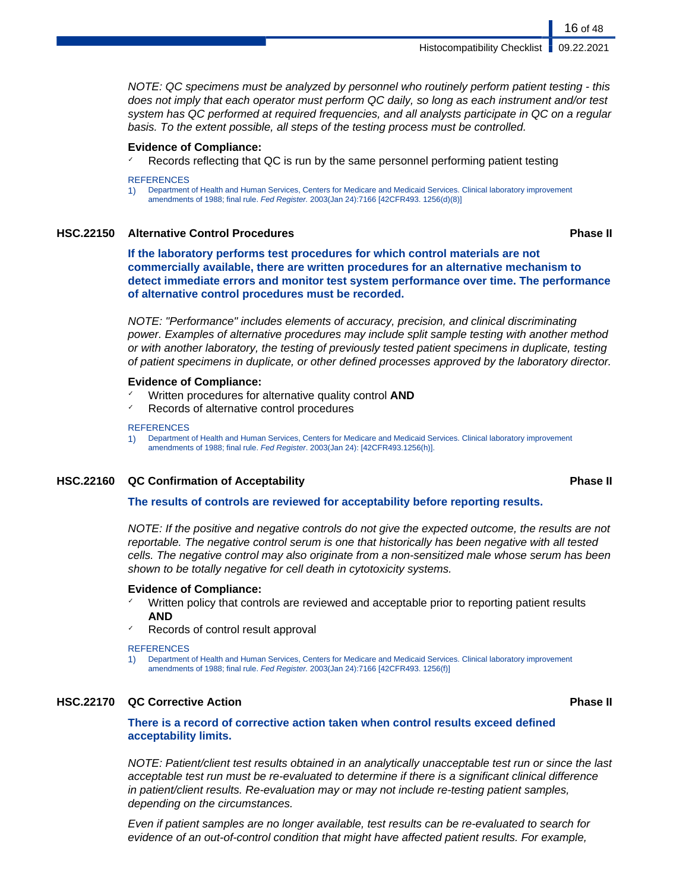NOTE: QC specimens must be analyzed by personnel who routinely perform patient testing - this does not imply that each operator must perform QC daily, so long as each instrument and/or test system has QC performed at required frequencies, and all analysts participate in QC on a regular basis. To the extent possible, all steps of the testing process must be controlled.

#### **Evidence of Compliance:**

Records reflecting that QC is run by the same personnel performing patient testing

#### **REFERENCES**

1) Department of Health and Human Services, Centers for Medicare and Medicaid Services. Clinical laboratory improvement amendments of 1988; final rule. Fed Register. 2003(Jan 24):7166 [42CFR493. 1256(d)(8)]

#### **HSC.22150 Alternative Control Procedures Phase II**

**If the laboratory performs test procedures for which control materials are not commercially available, there are written procedures for an alternative mechanism to detect immediate errors and monitor test system performance over time. The performance of alternative control procedures must be recorded.**

NOTE: "Performance" includes elements of accuracy, precision, and clinical discriminating power. Examples of alternative procedures may include split sample testing with another method or with another laboratory, the testing of previously tested patient specimens in duplicate, testing of patient specimens in duplicate, or other defined processes approved by the laboratory director.

#### **Evidence of Compliance:**

- ✓ Written procedures for alternative quality control **AND**
- Records of alternative control procedures

#### **REFERENCES**

1) Department of Health and Human Services, Centers for Medicare and Medicaid Services. Clinical laboratory improvement amendments of 1988; final rule. Fed Register. 2003(Jan 24): [42CFR493.1256(h)].

#### **HSC.22160 QC Confirmation of Acceptability Phase II**

**The results of controls are reviewed for acceptability before reporting results.**

NOTE: If the positive and negative controls do not give the expected outcome, the results are not reportable. The negative control serum is one that historically has been negative with all tested cells. The negative control may also originate from a non-sensitized male whose serum has been shown to be totally negative for cell death in cytotoxicity systems.

#### **Evidence of Compliance:**

- Written policy that controls are reviewed and acceptable prior to reporting patient results **AND**
- Records of control result approval

**REFERENCES** 

1) Department of Health and Human Services, Centers for Medicare and Medicaid Services. Clinical laboratory improvement amendments of 1988; final rule. Fed Register. 2003(Jan 24):7166 [42CFR493. 1256(f)]

### **HSC.22170 QC Corrective Action Phase II**

#### **There is a record of corrective action taken when control results exceed defined acceptability limits.**

NOTE: Patient/client test results obtained in an analytically unacceptable test run or since the last acceptable test run must be re-evaluated to determine if there is a significant clinical difference in patient/client results. Re-evaluation may or may not include re-testing patient samples, depending on the circumstances.

Even if patient samples are no longer available, test results can be re-evaluated to search for evidence of an out-of-control condition that might have affected patient results. For example,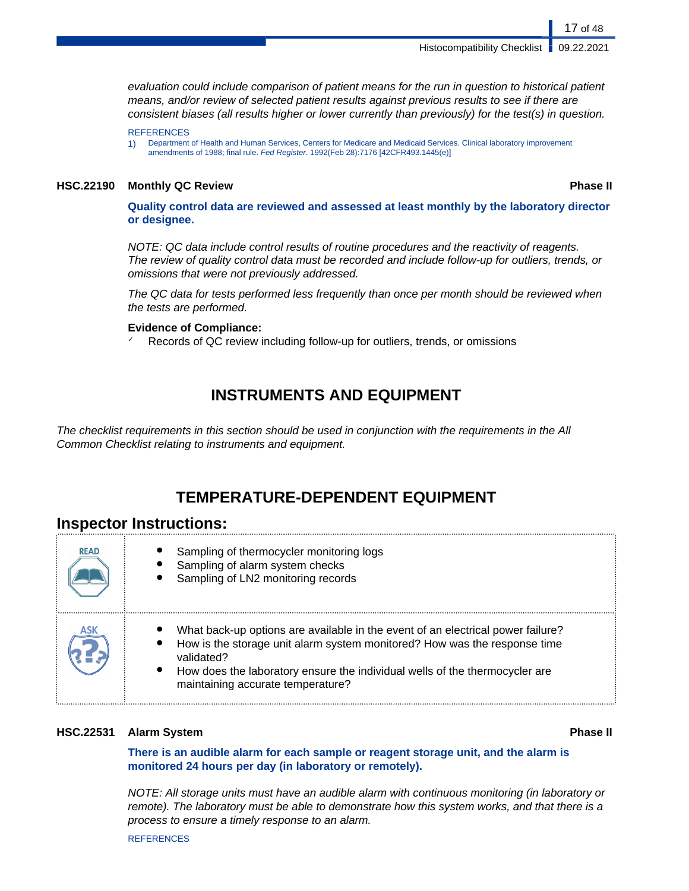Histocompatibility Checklist | 09.22.2021

evaluation could include comparison of patient means for the run in question to historical patient means, and/or review of selected patient results against previous results to see if there are consistent biases (all results higher or lower currently than previously) for the test(s) in question.

**REFERENCES** 

1) Department of Health and Human Services, Centers for Medicare and Medicaid Services. Clinical laboratory improvement amendments of 1988; final rule. Fed Register. 1992(Feb 28):7176 [42CFR493.1445(e)]

#### **HSC.22190 Monthly QC Review Phase II**

**Quality control data are reviewed and assessed at least monthly by the laboratory director or designee.**

NOTE: QC data include control results of routine procedures and the reactivity of reagents. The review of quality control data must be recorded and include follow-up for outliers, trends, or omissions that were not previously addressed.

The QC data for tests performed less frequently than once per month should be reviewed when the tests are performed.

#### **Evidence of Compliance:**

Records of QC review including follow-up for outliers, trends, or omissions

## **INSTRUMENTS AND EQUIPMENT**

The checklist requirements in this section should be used in conjunction with the requirements in the All Common Checklist relating to instruments and equipment.

## **TEMPERATURE-DEPENDENT EQUIPMENT**

### **Inspector Instructions:**

| <b>READ</b> | Sampling of thermocycler monitoring logs<br>Sampling of alarm system checks<br>Sampling of LN2 monitoring records                                                                                                                                                                                           |
|-------------|-------------------------------------------------------------------------------------------------------------------------------------------------------------------------------------------------------------------------------------------------------------------------------------------------------------|
| ASK         | What back-up options are available in the event of an electrical power failure?<br>How is the storage unit alarm system monitored? How was the response time<br>validated?<br>How does the laboratory ensure the individual wells of the thermocycler are<br>$\bullet$<br>maintaining accurate temperature? |

#### **HSC.22531 Alarm System Phase II**

**There is an audible alarm for each sample or reagent storage unit, and the alarm is monitored 24 hours per day (in laboratory or remotely).**

NOTE: All storage units must have an audible alarm with continuous monitoring (in laboratory or remote). The laboratory must be able to demonstrate how this system works, and that there is a process to ensure a timely response to an alarm.

**REFERENCES**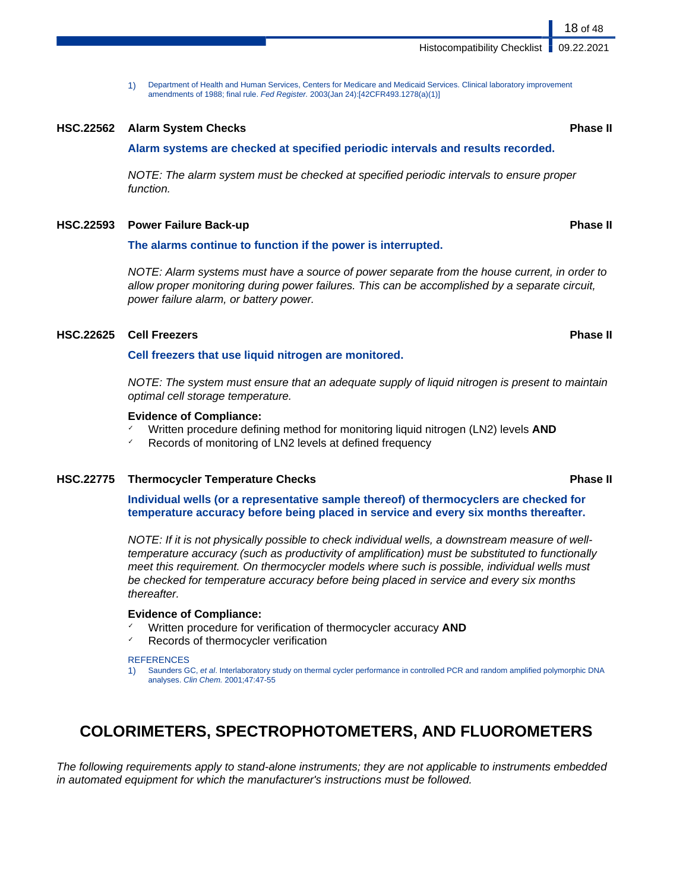1) Department of Health and Human Services, Centers for Medicare and Medicaid Services. Clinical laboratory improvement amendments of 1988; final rule. Fed Register. 2003(Jan 24):[42CFR493.1278(a)(1)]

#### **HSC.22562 Alarm System Checks Phase II**

#### **Alarm systems are checked at specified periodic intervals and results recorded.**

NOTE: The alarm system must be checked at specified periodic intervals to ensure proper function.

#### **HSC.22593 Power Failure Back-up Phase II**

#### **The alarms continue to function if the power is interrupted.**

NOTE: Alarm systems must have a source of power separate from the house current, in order to allow proper monitoring during power failures. This can be accomplished by a separate circuit, power failure alarm, or battery power.

#### **HSC.22625 Cell Freezers Phase II**

**Cell freezers that use liquid nitrogen are monitored.**

NOTE: The system must ensure that an adequate supply of liquid nitrogen is present to maintain optimal cell storage temperature.

#### **Evidence of Compliance:**

- ✓ Written procedure defining method for monitoring liquid nitrogen (LN2) levels **AND**
- ✓ Records of monitoring of LN2 levels at defined frequency

#### **HSC.22775 Thermocycler Temperature Checks Phase II**

**Individual wells (or a representative sample thereof) of thermocyclers are checked for temperature accuracy before being placed in service and every six months thereafter.**

NOTE: If it is not physically possible to check individual wells, a downstream measure of welltemperature accuracy (such as productivity of amplification) must be substituted to functionally meet this requirement. On thermocycler models where such is possible, individual wells must be checked for temperature accuracy before being placed in service and every six months thereafter.

#### **Evidence of Compliance:**

- ✓ Written procedure for verification of thermocycler accuracy **AND**
- Records of thermocycler verification

#### **REFERENCES**

Saunders GC, et al. Interlaboratory study on thermal cycler performance in controlled PCR and random amplified polymorphic DNA analyses. Clin Chem. 2001;47:47-55

## **COLORIMETERS, SPECTROPHOTOMETERS, AND FLUOROMETERS**

The following requirements apply to stand-alone instruments; they are not applicable to instruments embedded in automated equipment for which the manufacturer's instructions must be followed.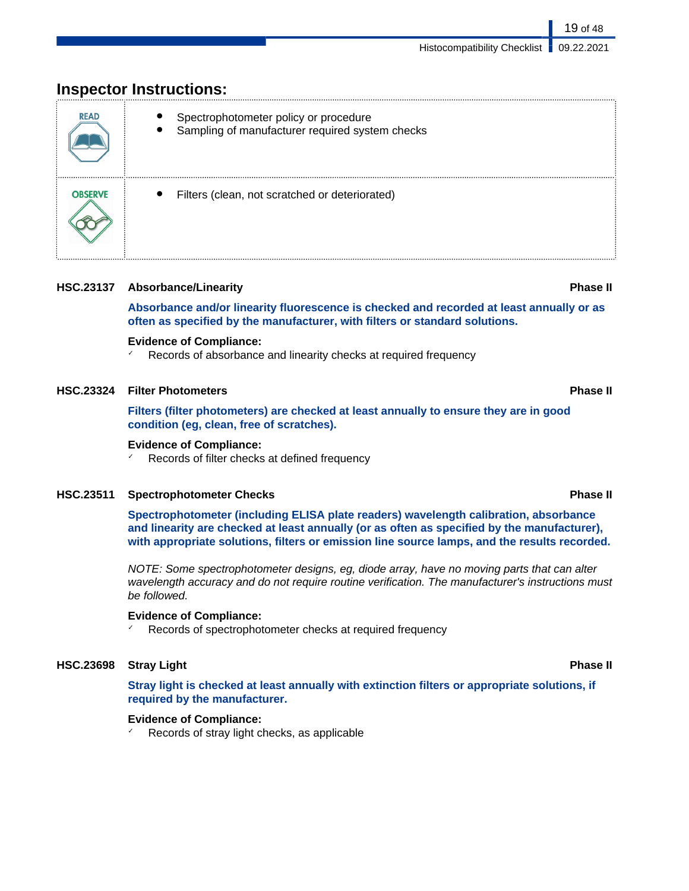## **Inspector Instructions:**

| <b>READ</b>    | Spectrophotometer policy or procedure<br>Sampling of manufacturer required system checks<br>$\bullet$ |
|----------------|-------------------------------------------------------------------------------------------------------|
| <b>OBSERVE</b> | Filters (clean, not scratched or deteriorated)<br>٠                                                   |

### **HSC.23137 Absorbance/Linearity Phase II**

**Absorbance and/or linearity fluorescence is checked and recorded at least annually or as often as specified by the manufacturer, with filters or standard solutions.**

### **Evidence of Compliance:**

Records of absorbance and linearity checks at required frequency

### **HSC.23324 Filter Photometers Phase II**

**Filters (filter photometers) are checked at least annually to ensure they are in good condition (eg, clean, free of scratches).**

### **Evidence of Compliance:**

Records of filter checks at defined frequency

### **HSC.23511 Spectrophotometer Checks Phase II**

**Spectrophotometer (including ELISA plate readers) wavelength calibration, absorbance and linearity are checked at least annually (or as often as specified by the manufacturer), with appropriate solutions, filters or emission line source lamps, and the results recorded.**

NOTE: Some spectrophotometer designs, eg, diode array, have no moving parts that can alter wavelength accuracy and do not require routine verification. The manufacturer's instructions must be followed.

### **Evidence of Compliance:**

Records of spectrophotometer checks at required frequency

### **HSC.23698 Stray Light Phase II**

**Stray light is checked at least annually with extinction filters or appropriate solutions, if required by the manufacturer.**

### **Evidence of Compliance:**

Records of stray light checks, as applicable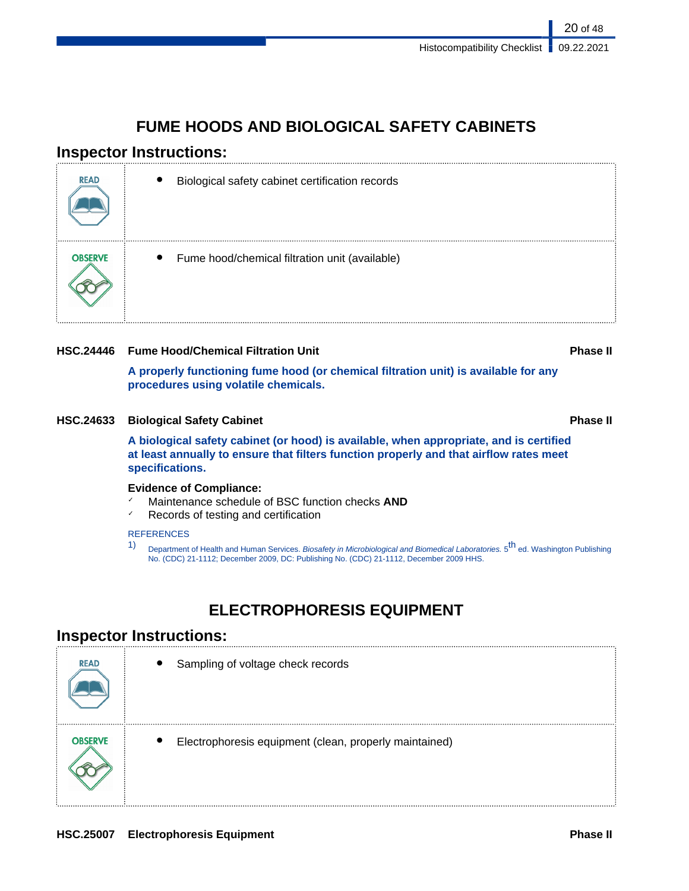## **FUME HOODS AND BIOLOGICAL SAFETY CABINETS**

## **Inspector Instructions:**

| <b>READ</b>    | Biological safety cabinet certification records<br>$\bullet$ |
|----------------|--------------------------------------------------------------|
| <b>OBSERVE</b> | Fume hood/chemical filtration unit (available)<br>$\bullet$  |

### **HSC.24446 Fume Hood/Chemical Filtration Unit Phase II**

**A properly functioning fume hood (or chemical filtration unit) is available for any procedures using volatile chemicals.**

### **HSC.24633 Biological Safety Cabinet Phase II**

**A biological safety cabinet (or hood) is available, when appropriate, and is certified at least annually to ensure that filters function properly and that airflow rates meet specifications.**

### **Evidence of Compliance:**

- Maintenance schedule of BSC function checks **AND**
- ✓ Records of testing and certification

### **REFERENCES**

1) Department of Health and Human Services. Biosafety in Microbiological and Biomedical Laboratories. 5<sup>th</sup> ed. Washington Publishing No. (CDC) 21-1112; December 2009, DC: Publishing No. (CDC) 21-1112, December 2009 HHS.

## **ELECTROPHORESIS EQUIPMENT**

## **Inspector Instructions:**

| <b>READ</b>    | $\bullet$<br>Sampling of voltage check records                      |
|----------------|---------------------------------------------------------------------|
| <b>OBSERVE</b> | Electrophoresis equipment (clean, properly maintained)<br>$\bullet$ |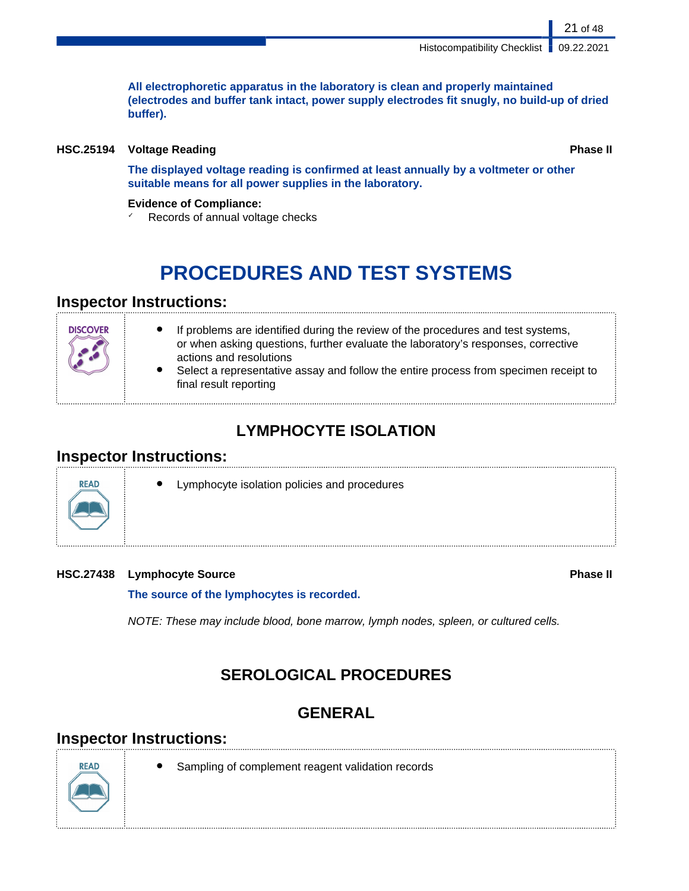**All electrophoretic apparatus in the laboratory is clean and properly maintained (electrodes and buffer tank intact, power supply electrodes fit snugly, no build-up of dried buffer).**

### **HSC.25194 Voltage Reading Phase II**

**The displayed voltage reading is confirmed at least annually by a voltmeter or other suitable means for all power supplies in the laboratory.**

### **Evidence of Compliance:**

 $\sqrt{ }$  Records of annual voltage checks

# **PROCEDURES AND TEST SYSTEMS**

## **Inspector Instructions:**

## **LYMPHOCYTE ISOLATION**

## **Inspector Instructions:**



Lymphocyte isolation policies and procedures

### **HSC.27438 Lymphocyte Source Phase II**

**The source of the lymphocytes is recorded.**

NOTE: These may include blood, bone marrow, lymph nodes, spleen, or cultured cells.

## **SEROLOGICAL PROCEDURES**

## **GENERAL**

## **Inspector Instructions:**



- Sampling of complement reagent validation records
-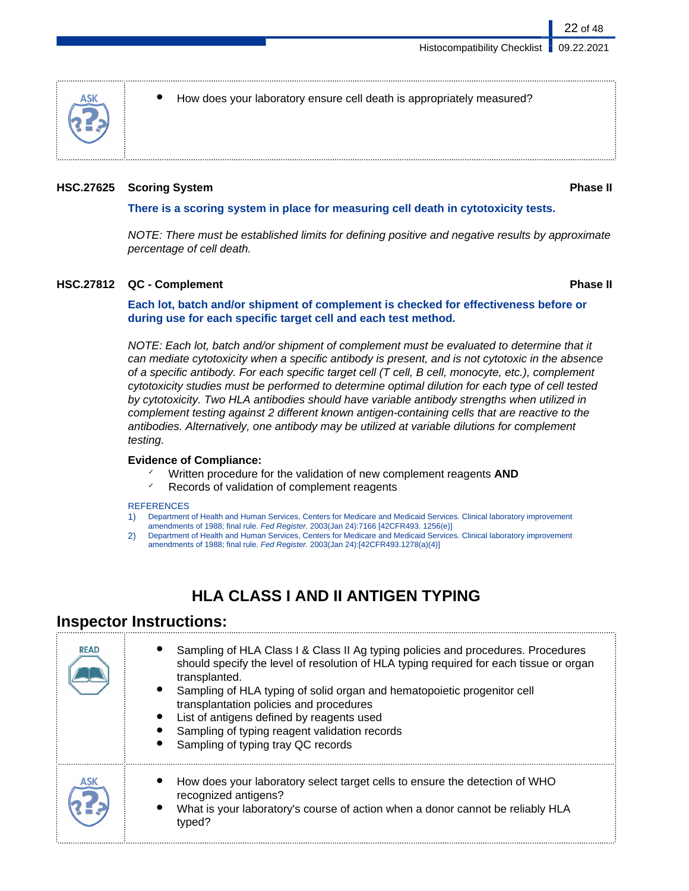

How does your laboratory ensure cell death is appropriately measured?

#### **HSC.27625 Scoring System Phase II**

#### **There is a scoring system in place for measuring cell death in cytotoxicity tests.**

NOTE: There must be established limits for defining positive and negative results by approximate percentage of cell death.

#### **HSC.27812 QC - Complement Phase II**

**Each lot, batch and/or shipment of complement is checked for effectiveness before or during use for each specific target cell and each test method.**

NOTE: Each lot, batch and/or shipment of complement must be evaluated to determine that it can mediate cytotoxicity when a specific antibody is present, and is not cytotoxic in the absence of a specific antibody. For each specific target cell  $(T$  cell,  $B$  cell, monocyte, etc.), complement cytotoxicity studies must be performed to determine optimal dilution for each type of cell tested by cytotoxicity. Two HLA antibodies should have variable antibody strengths when utilized in complement testing against 2 different known antigen-containing cells that are reactive to the antibodies. Alternatively, one antibody may be utilized at variable dilutions for complement testing.

#### **Evidence of Compliance:**

- ✓ Written procedure for the validation of new complement reagents **AND**
- Records of validation of complement reagents

#### **REFERENCES**

- 1) Department of Health and Human Services, Centers for Medicare and Medicaid Services. Clinical laboratory improvement
- amendments of 1988; final rule. Fed Register. 2003(Jan 24):7166 [42CFR493. 1256(e)]
- 2) Department of Health and Human Services, Centers for Medicare and Medicaid Services. Clinical laboratory improvement amendments of 1988; final rule. Fed Register. 2003(Jan 24):[42CFR493.1278(a)(4)]

## **HLA CLASS I AND II ANTIGEN TYPING**

## **Inspector Instructions:**

| <b>READ</b> | Sampling of HLA Class I & Class II Ag typing policies and procedures. Procedures<br>should specify the level of resolution of HLA typing required for each tissue or organ<br>transplanted.<br>Sampling of HLA typing of solid organ and hematopoietic progenitor cell<br>transplantation policies and procedures<br>List of antigens defined by reagents used<br>Sampling of typing reagent validation records<br>Sampling of typing tray QC records |
|-------------|-------------------------------------------------------------------------------------------------------------------------------------------------------------------------------------------------------------------------------------------------------------------------------------------------------------------------------------------------------------------------------------------------------------------------------------------------------|
| ASK         | How does your laboratory select target cells to ensure the detection of WHO<br>recognized antigens?<br>What is your laboratory's course of action when a donor cannot be reliably HLA<br>typed?                                                                                                                                                                                                                                                       |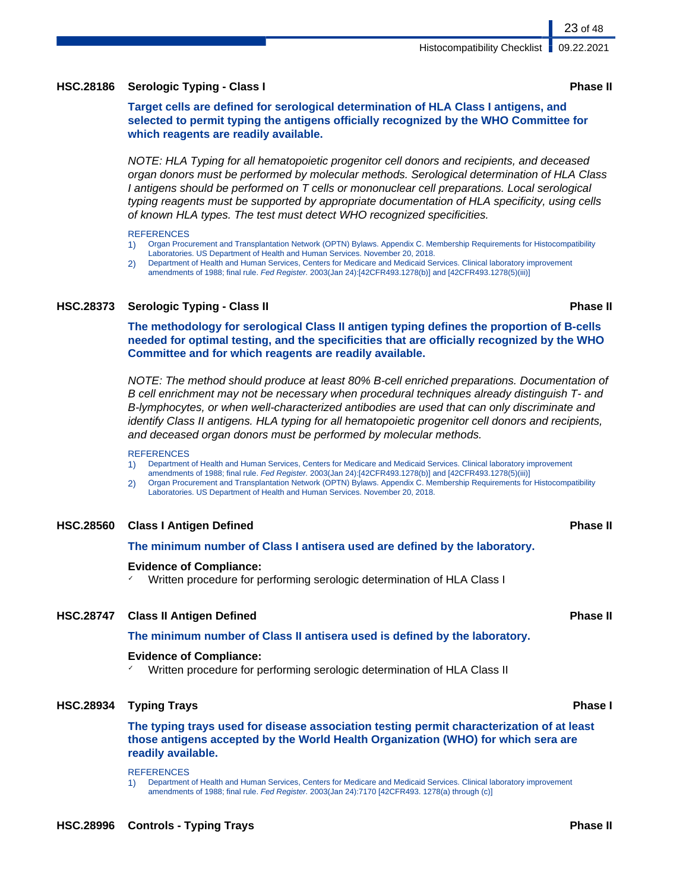### Histocompatibility Checklist | 09.22.2021

### **HSC.28186 Serologic Typing - Class I Phase II**

**Target cells are defined for serological determination of HLA Class I antigens, and selected to permit typing the antigens officially recognized by the WHO Committee for which reagents are readily available.**

NOTE: HLA Typing for all hematopoietic progenitor cell donors and recipients, and deceased organ donors must be performed by molecular methods. Serological determination of HLA Class I antigens should be performed on T cells or mononuclear cell preparations. Local serological typing reagents must be supported by appropriate documentation of HLA specificity, using cells of known HLA types. The test must detect WHO recognized specificities.

**REFERENCES** 

- 1) Organ Procurement and Transplantation Network (OPTN) Bylaws. Appendix C. Membership Requirements for Histocompatibility Laboratories. US Department of Health and Human Services. November 20, 2018.
- 2) Department of Health and Human Services, Centers for Medicare and Medicaid Services. Clinical laboratory improvement amendments of 1988; final rule. Fed Register. 2003(Jan 24):[42CFR493.1278(b)] and [42CFR493.1278(5)(iii)]

## **HSC.28373 Serologic Typing - Class II Phase II**

**The methodology for serological Class II antigen typing defines the proportion of B-cells needed for optimal testing, and the specificities that are officially recognized by the WHO Committee and for which reagents are readily available.**

NOTE: The method should produce at least 80% B-cell enriched preparations. Documentation of B cell enrichment may not be necessary when procedural techniques already distinguish T- and B-lymphocytes, or when well-characterized antibodies are used that can only discriminate and identify Class II antigens. HLA typing for all hematopoietic progenitor cell donors and recipients, and deceased organ donors must be performed by molecular methods.

#### **REFERENCES**

- 1) Department of Health and Human Services, Centers for Medicare and Medicaid Services. Clinical laboratory improvement amendments of 1988; final rule. Fed Register. 2003(Jan 24):[42CFR493.1278(b)] and [42CFR493.1278(5)(iii)]
- 2) Organ Procurement and Transplantation Network (OPTN) Bylaws. Appendix C. Membership Requirements for Histocompatibility Laboratories. US Department of Health and Human Services. November 20, 2018.

### **HSC.28560 Class I Antigen Defined Phase II**

### **The minimum number of Class I antisera used are defined by the laboratory.**

### **Evidence of Compliance:**

Written procedure for performing serologic determination of HLA Class I

### **HSC.28747 Class II Antigen Defined Phase II**

### **The minimum number of Class II antisera used is defined by the laboratory.**

### **Evidence of Compliance:**

Written procedure for performing serologic determination of HLA Class II

### **HSC.28934 Typing Trays Phase I**

**The typing trays used for disease association testing permit characterization of at least those antigens accepted by the World Health Organization (WHO) for which sera are readily available.**

**REFERENCES** 

1) Department of Health and Human Services, Centers for Medicare and Medicaid Services. Clinical laboratory improvement amendments of 1988; final rule. Fed Register. 2003(Jan 24):7170 [42CFR493. 1278(a) through (c)]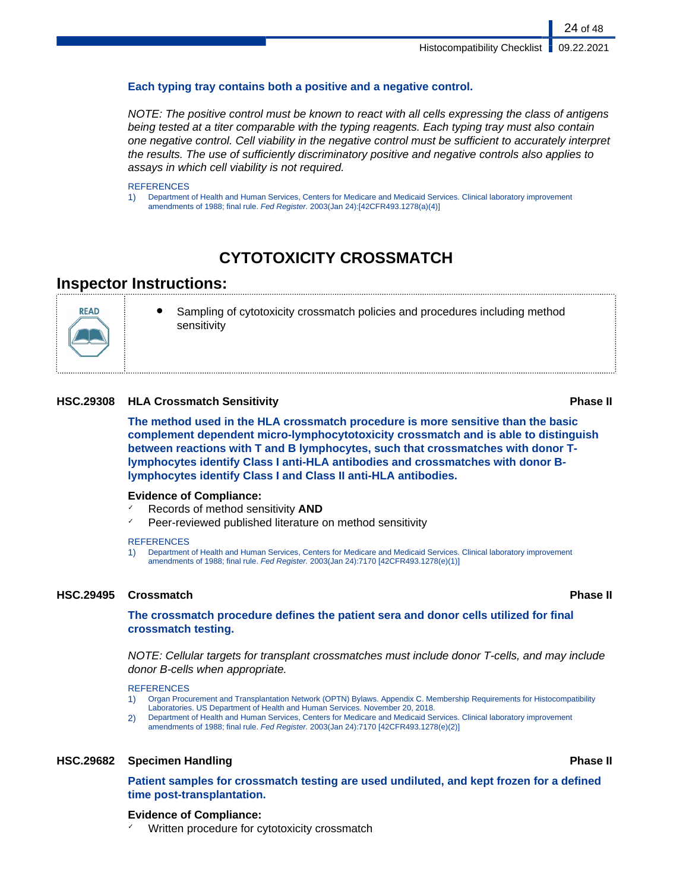24 of 48

### **Each typing tray contains both a positive and a negative control.**

NOTE: The positive control must be known to react with all cells expressing the class of antigens being tested at a titer comparable with the typing reagents. Each typing tray must also contain one negative control. Cell viability in the negative control must be sufficient to accurately interpret the results. The use of sufficiently discriminatory positive and negative controls also applies to assays in which cell viability is not required.

#### **REFERENCES**

1) Department of Health and Human Services, Centers for Medicare and Medicaid Services. Clinical laboratory improvement amendments of 1988; final rule. Fed Register. 2003(Jan 24):[42CFR493.1278(a)(4)]

## **CYTOTOXICITY CROSSMATCH**

## **Inspector Instructions:**



Sampling of cytotoxicity crossmatch policies and procedures including method sensitivity

#### **HSC.29308 HLA Crossmatch Sensitivity Phase II**

**The method used in the HLA crossmatch procedure is more sensitive than the basic complement dependent micro-lymphocytotoxicity crossmatch and is able to distinguish between reactions with T and B lymphocytes, such that crossmatches with donor Tlymphocytes identify Class I anti-HLA antibodies and crossmatches with donor Blymphocytes identify Class I and Class II anti-HLA antibodies.**

#### **Evidence of Compliance:**

- ✓ Records of method sensitivity **AND**
- Peer-reviewed published literature on method sensitivity

#### **REFERENCES**

1) Department of Health and Human Services, Centers for Medicare and Medicaid Services. Clinical laboratory improvement amendments of 1988; final rule. Fed Register. 2003(Jan 24):7170 [42CFR493.1278(e)(1)]

#### **HSC.29495 Crossmatch Phase II**

#### **The crossmatch procedure defines the patient sera and donor cells utilized for final crossmatch testing.**

NOTE: Cellular targets for transplant crossmatches must include donor T-cells, and may include donor B-cells when appropriate.

#### **REFERENCES**

- 1) Organ Procurement and Transplantation Network (OPTN) Bylaws. Appendix C. Membership Requirements for Histocompatibility Laboratories. US Department of Health and Human Services. November 20, 2018.
- 2) Department of Health and Human Services, Centers for Medicare and Medicaid Services. Clinical laboratory improvement amendments of 1988; final rule. Fed Register. 2003(Jan 24):7170 [42CFR493.1278(e)(2)]

### **HSC.29682 Specimen Handling Phase II**

**Patient samples for crossmatch testing are used undiluted, and kept frozen for a defined time post-transplantation.**

#### **Evidence of Compliance:**

Written procedure for cytotoxicity crossmatch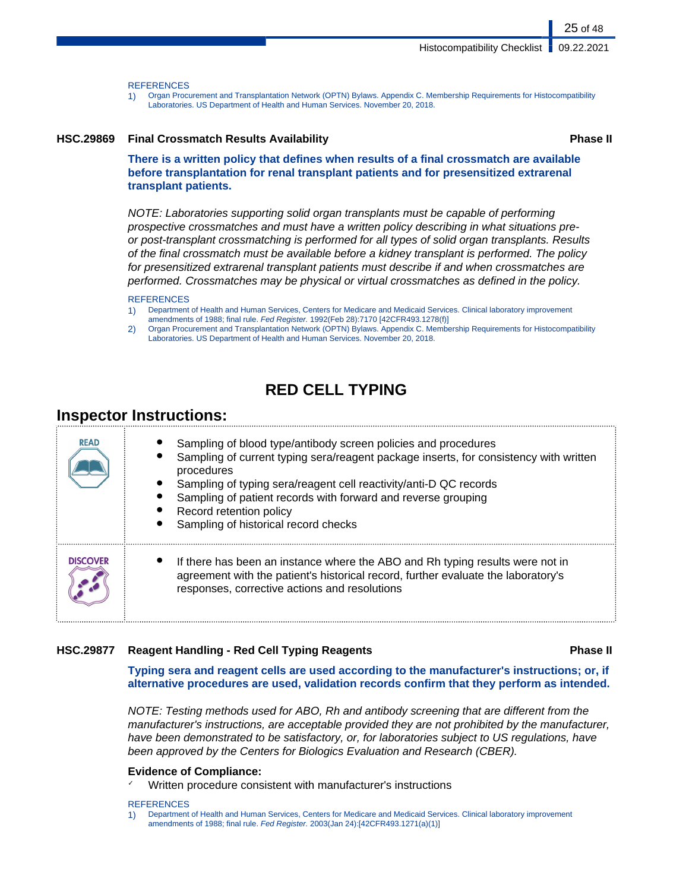#### **REFERENCES**

1) Organ Procurement and Transplantation Network (OPTN) Bylaws. Appendix C. Membership Requirements for Histocompatibility Laboratories. US Department of Health and Human Services. November 20, 2018.

#### **HSC.29869 Final Crossmatch Results Availability Phase II**

**There is a written policy that defines when results of a final crossmatch are available before transplantation for renal transplant patients and for presensitized extrarenal transplant patients.**

NOTE: Laboratories supporting solid organ transplants must be capable of performing prospective crossmatches and must have a written policy describing in what situations preor post-transplant crossmatching is performed for all types of solid organ transplants. Results of the final crossmatch must be available before a kidney transplant is performed. The policy for presensitized extrarenal transplant patients must describe if and when crossmatches are performed. Crossmatches may be physical or virtual crossmatches as defined in the policy.

#### **REFERENCES**

- 1) Department of Health and Human Services, Centers for Medicare and Medicaid Services. Clinical laboratory improvement amendments of 1988; final rule. Fed Register. 1992(Feb 28):7170 [42CFR493.1278(f)]
- 2) Organ Procurement and Transplantation Network (OPTN) Bylaws. Appendix C. Membership Requirements for Histocompatibility Laboratories. US Department of Health and Human Services. November 20, 2018.

## **RED CELL TYPING**

### **Inspector Instructions:**

| <b>READ</b>     | Sampling of blood type/antibody screen policies and procedures<br>Sampling of current typing sera/reagent package inserts, for consistency with written<br>procedures<br>Sampling of typing sera/reagent cell reactivity/anti-D QC records<br>Sampling of patient records with forward and reverse grouping<br>Record retention policy<br>Sampling of historical record checks |
|-----------------|--------------------------------------------------------------------------------------------------------------------------------------------------------------------------------------------------------------------------------------------------------------------------------------------------------------------------------------------------------------------------------|
| <b>DISCOVER</b> | If there has been an instance where the ABO and Rh typing results were not in<br>agreement with the patient's historical record, further evaluate the laboratory's<br>responses, corrective actions and resolutions                                                                                                                                                            |

#### **HSC.29877 Reagent Handling - Red Cell Typing Reagents Phase II**

**Typing sera and reagent cells are used according to the manufacturer's instructions; or, if alternative procedures are used, validation records confirm that they perform as intended.**

NOTE: Testing methods used for ABO, Rh and antibody screening that are different from the manufacturer's instructions, are acceptable provided they are not prohibited by the manufacturer, have been demonstrated to be satisfactory, or, for laboratories subject to US regulations, have been approved by the Centers for Biologics Evaluation and Research (CBER).

#### **Evidence of Compliance:**

Written procedure consistent with manufacturer's instructions

#### **REFERENCES**

1) Department of Health and Human Services, Centers for Medicare and Medicaid Services. Clinical laboratory improvement amendments of 1988; final rule. Fed Register. 2003(Jan 24):[42CFR493.1271(a)(1)]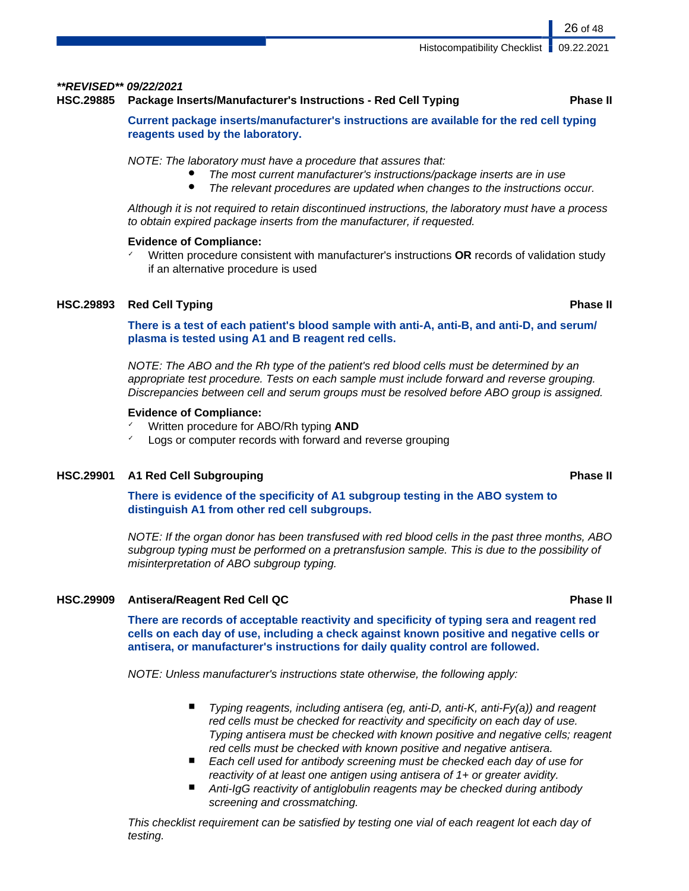#### **\*\*REVISED\*\* 09/22/2021**

#### **HSC.29885 Package Inserts/Manufacturer's Instructions - Red Cell Typing Phase II**

### **Current package inserts/manufacturer's instructions are available for the red cell typing reagents used by the laboratory.**

NOTE: The laboratory must have a procedure that assures that:

- The most current manufacturer's instructions/package inserts are in use
- The relevant procedures are updated when changes to the instructions occur.

Although it is not required to retain discontinued instructions, the laboratory must have a process to obtain expired package inserts from the manufacturer, if requested.

#### **Evidence of Compliance:**

✓ Written procedure consistent with manufacturer's instructions **OR** records of validation study if an alternative procedure is used

### **HSC.29893 Red Cell Typing Phase II**

**There is a test of each patient's blood sample with anti-A, anti-B, and anti-D, and serum/ plasma is tested using A1 and B reagent red cells.**

NOTE: The ABO and the Rh type of the patient's red blood cells must be determined by an appropriate test procedure. Tests on each sample must include forward and reverse grouping. Discrepancies between cell and serum groups must be resolved before ABO group is assigned.

#### **Evidence of Compliance:**

- ✓ Written procedure for ABO/Rh typing **AND**
- Logs or computer records with forward and reverse grouping

### **HSC.29901 A1 Red Cell Subgrouping Phase II**

**There is evidence of the specificity of A1 subgroup testing in the ABO system to distinguish A1 from other red cell subgroups.**

NOTE: If the organ donor has been transfused with red blood cells in the past three months, ABO subgroup typing must be performed on a pretransfusion sample. This is due to the possibility of misinterpretation of ABO subgroup typing.

### **HSC.29909 Antisera/Reagent Red Cell QC Phase II**

**There are records of acceptable reactivity and specificity of typing sera and reagent red cells on each day of use, including a check against known positive and negative cells or antisera, or manufacturer's instructions for daily quality control are followed.**

NOTE: Unless manufacturer's instructions state otherwise, the following apply:

- Typing reagents, including antisera (eg, anti-D, anti-K, anti-Fy(a)) and reagent red cells must be checked for reactivity and specificity on each day of use. Typing antisera must be checked with known positive and negative cells; reagent red cells must be checked with known positive and negative antisera.
- Each cell used for antibody screening must be checked each day of use for reactivity of at least one antigen using antisera of 1+ or greater avidity.
- Anti-IgG reactivity of antiglobulin reagents may be checked during antibody screening and crossmatching.

This checklist requirement can be satisfied by testing one vial of each reagent lot each day of testing.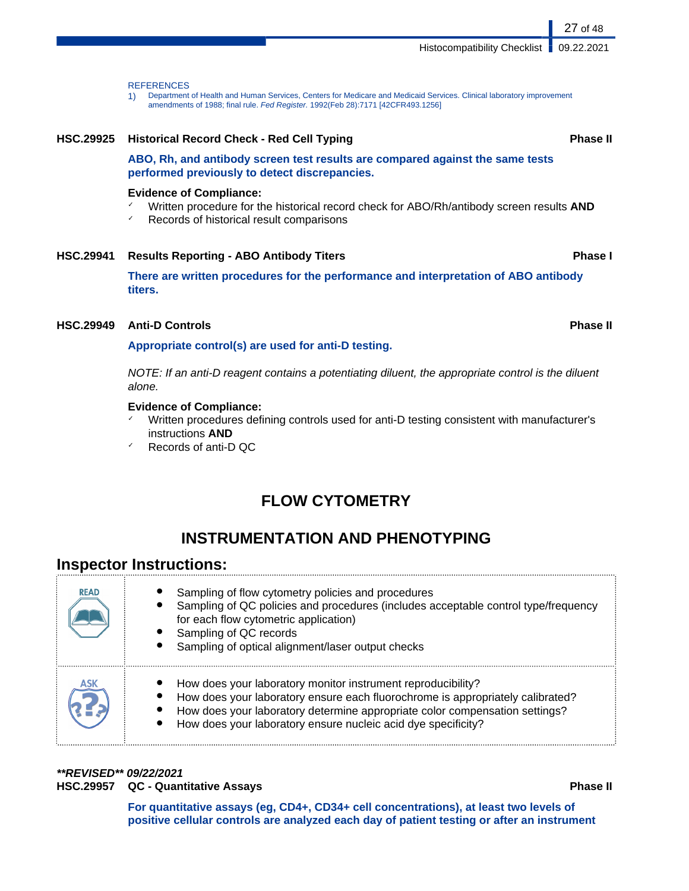Histocompatibility Checklist | 09.22.2021

#### **REFERENCES**

1) Department of Health and Human Services, Centers for Medicare and Medicaid Services. Clinical laboratory improvement amendments of 1988; final rule. Fed Register. 1992(Feb 28):7171 [42CFR493.1256]

## **HSC.29925 Historical Record Check - Red Cell Typing Phase II ABO, Rh, and antibody screen test results are compared against the same tests performed previously to detect discrepancies. Evidence of Compliance:** ✓ Written procedure for the historical record check for ABO/Rh/antibody screen results **AND**

✓ Records of historical result comparisons

### **HSC.29941 Results Reporting - ABO Antibody Titers Phase I**

**There are written procedures for the performance and interpretation of ABO antibody titers.**

#### **HSC.29949 Anti-D Controls Phase II**

#### **Appropriate control(s) are used for anti-D testing.**

NOTE: If an anti-D reagent contains a potentiating diluent, the appropriate control is the diluent alone.

#### **Evidence of Compliance:**

- Written procedures defining controls used for anti-D testing consistent with manufacturer's instructions **AND**
- Records of anti-D QC

## **FLOW CYTOMETRY**

## **INSTRUMENTATION AND PHENOTYPING**

### **Inspector Instructions:**

| <b>READ</b> | Sampling of flow cytometry policies and procedures<br>Sampling of QC policies and procedures (includes acceptable control type/frequency<br>for each flow cytometric application)<br>Sampling of QC records<br>Sampling of optical alignment/laser output checks                               |
|-------------|------------------------------------------------------------------------------------------------------------------------------------------------------------------------------------------------------------------------------------------------------------------------------------------------|
| ASK         | How does your laboratory monitor instrument reproducibility?<br>How does your laboratory ensure each fluorochrome is appropriately calibrated?<br>How does your laboratory determine appropriate color compensation settings?<br>How does your laboratory ensure nucleic acid dye specificity? |

**\*\*REVISED\*\* 09/22/2021**

**HSC.29957 QC - Quantitative Assays Phase II**

**For quantitative assays (eg, CD4+, CD34+ cell concentrations), at least two levels of positive cellular controls are analyzed each day of patient testing or after an instrument**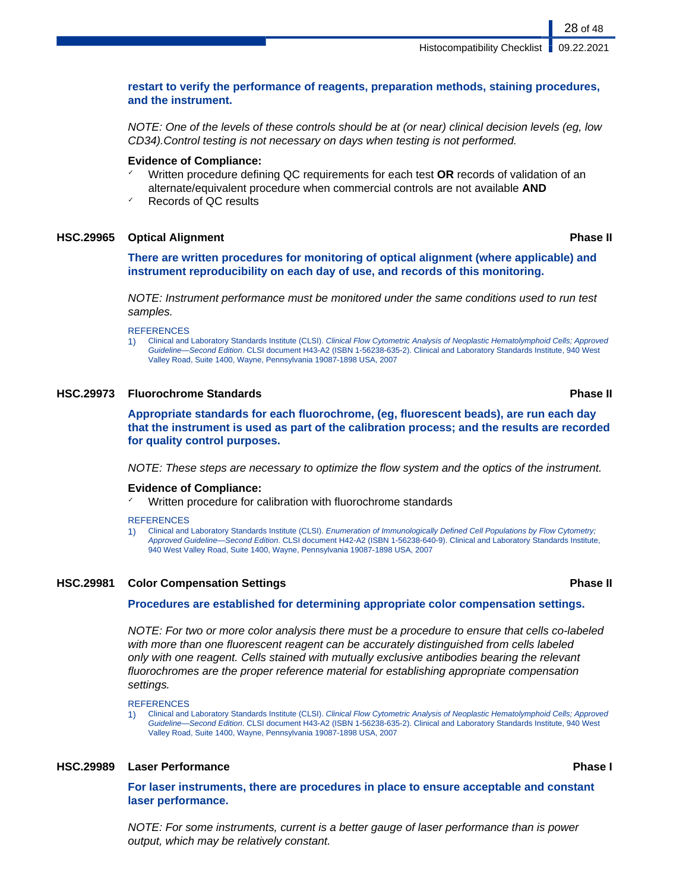### **restart to verify the performance of reagents, preparation methods, staining procedures, and the instrument.**

NOTE: One of the levels of these controls should be at (or near) clinical decision levels (eg, low CD34).Control testing is not necessary on days when testing is not performed.

#### **Evidence of Compliance:**

- ✓ Written procedure defining QC requirements for each test **OR** records of validation of an alternate/equivalent procedure when commercial controls are not available **AND**
- Records of QC results

#### **HSC.29965 Optical Alignment Phase II**

**There are written procedures for monitoring of optical alignment (where applicable) and instrument reproducibility on each day of use, and records of this monitoring.**

NOTE: Instrument performance must be monitored under the same conditions used to run test samples.

**REFERENCES** 

1) Clinical and Laboratory Standards Institute (CLSI). Clinical Flow Cytometric Analysis of Neoplastic Hematolymphoid Cells; Approved Guideline—Second Edition. CLSI document H43-A2 (ISBN 1-56238-635-2). Clinical and Laboratory Standards Institute, 940 West Valley Road, Suite 1400, Wayne, Pennsylvania 19087-1898 USA, 2007

#### **HSC.29973 Fluorochrome Standards Phase II**

**Appropriate standards for each fluorochrome, (eg, fluorescent beads), are run each day that the instrument is used as part of the calibration process; and the results are recorded for quality control purposes.**

NOTE: These steps are necessary to optimize the flow system and the optics of the instrument.

#### **Evidence of Compliance:**

Written procedure for calibration with fluorochrome standards

#### **REFERENCES**

1) Clinical and Laboratory Standards Institute (CLSI). Enumeration of Immunologically Defined Cell Populations by Flow Cytometry; Approved Guideline—Second Edition. CLSI document H42-A2 (ISBN 1-56238-640-9). Clinical and Laboratory Standards Institute, 940 West Valley Road, Suite 1400, Wayne, Pennsylvania 19087-1898 USA, 2007

#### **HSC.29981 Color Compensation Settings Phase II**

#### **Procedures are established for determining appropriate color compensation settings.**

NOTE: For two or more color analysis there must be a procedure to ensure that cells co-labeled with more than one fluorescent reagent can be accurately distinguished from cells labeled only with one reagent. Cells stained with mutually exclusive antibodies bearing the relevant fluorochromes are the proper reference material for establishing appropriate compensation settings.

**REFERENCES** 

1) Clinical and Laboratory Standards Institute (CLSI). Clinical Flow Cytometric Analysis of Neoplastic Hematolymphoid Cells; Approved Guideline—Second Edition. CLSI document H43-A2 (ISBN 1-56238-635-2). Clinical and Laboratory Standards Institute, 940 West Valley Road, Suite 1400, Wayne, Pennsylvania 19087-1898 USA, 2007

#### **HSC.29989 Laser Performance Phase I**

**For laser instruments, there are procedures in place to ensure acceptable and constant laser performance.**

NOTE: For some instruments, current is a better gauge of laser performance than is power output, which may be relatively constant.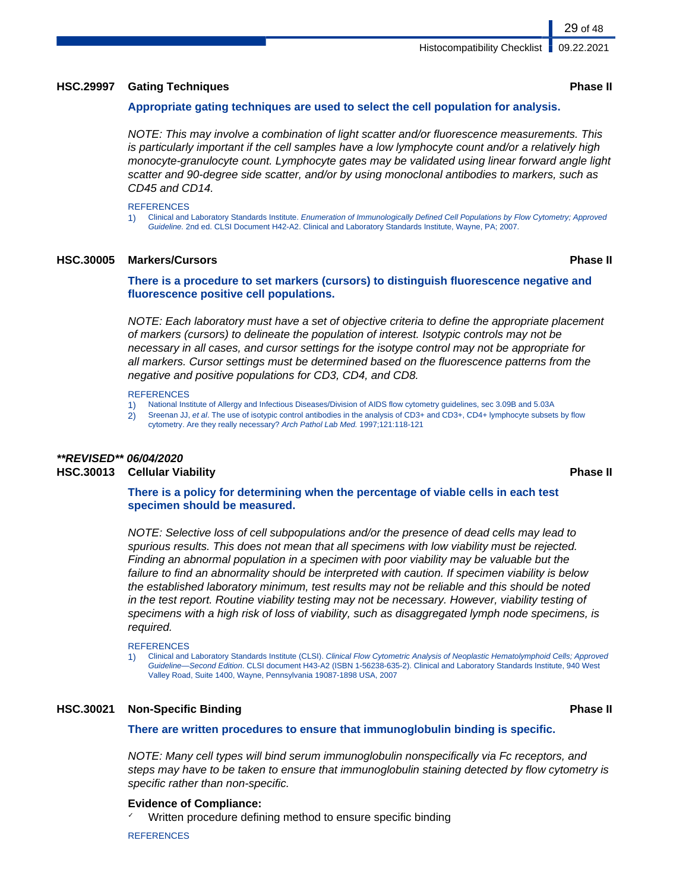#### **HSC.29997 Gating Techniques Phase II**

#### **Appropriate gating techniques are used to select the cell population for analysis.**

NOTE: This may involve a combination of light scatter and/or fluorescence measurements. This is particularly important if the cell samples have a low lymphocyte count and/or a relatively high monocyte-granulocyte count. Lymphocyte gates may be validated using linear forward angle light scatter and 90-degree side scatter, and/or by using monoclonal antibodies to markers, such as CD45 and CD14.

#### **REFERENCES**

1) Clinical and Laboratory Standards Institute. Enumeration of Immunologically Defined Cell Populations by Flow Cytometry; Approved Guideline. 2nd ed. CLSI Document H42-A2. Clinical and Laboratory Standards Institute, Wayne, PA; 2007.

#### **HSC.30005 Markers/Cursors Phase II**

**There is a procedure to set markers (cursors) to distinguish fluorescence negative and fluorescence positive cell populations.**

NOTE: Each laboratory must have a set of objective criteria to define the appropriate placement of markers (cursors) to delineate the population of interest. Isotypic controls may not be necessary in all cases, and cursor settings for the isotype control may not be appropriate for all markers. Cursor settings must be determined based on the fluorescence patterns from the negative and positive populations for CD3, CD4, and CD8.

#### **REFERENCES**

- 1) National Institute of Allergy and Infectious Diseases/Division of AIDS flow cytometry guidelines, sec 3.09B and 5.03A
- 2) Sreenan JJ, et al. The use of isotypic control antibodies in the analysis of CD3+ and CD3+, CD4+ lymphocyte subsets by flow
- cytometry. Are they really necessary? Arch Pathol Lab Med. 1997;121:118-121

## **\*\*REVISED\*\* 06/04/2020**

### **HSC.30013 Cellular Viability Phase II**

#### **There is a policy for determining when the percentage of viable cells in each test specimen should be measured.**

NOTE: Selective loss of cell subpopulations and/or the presence of dead cells may lead to spurious results. This does not mean that all specimens with low viability must be rejected. Finding an abnormal population in a specimen with poor viability may be valuable but the failure to find an abnormality should be interpreted with caution. If specimen viability is below the established laboratory minimum, test results may not be reliable and this should be noted in the test report. Routine viability testing may not be necessary. However, viability testing of specimens with a high risk of loss of viability, such as disaggregated lymph node specimens, is required.

#### **REFERENCES**

1) Clinical and Laboratory Standards Institute (CLSI). Clinical Flow Cytometric Analysis of Neoplastic Hematolymphoid Cells; Approved Guideline—Second Edition. CLSI document H43-A2 (ISBN 1-56238-635-2). Clinical and Laboratory Standards Institute, 940 West Valley Road, Suite 1400, Wayne, Pennsylvania 19087-1898 USA, 2007

#### **HSC.30021 Non-Specific Binding Phase II**

**There are written procedures to ensure that immunoglobulin binding is specific.**

NOTE: Many cell types will bind serum immunoglobulin nonspecifically via Fc receptors, and steps may have to be taken to ensure that immunoglobulin staining detected by flow cytometry is specific rather than non-specific.

#### **Evidence of Compliance:**

Written procedure defining method to ensure specific binding

**REFERENCES**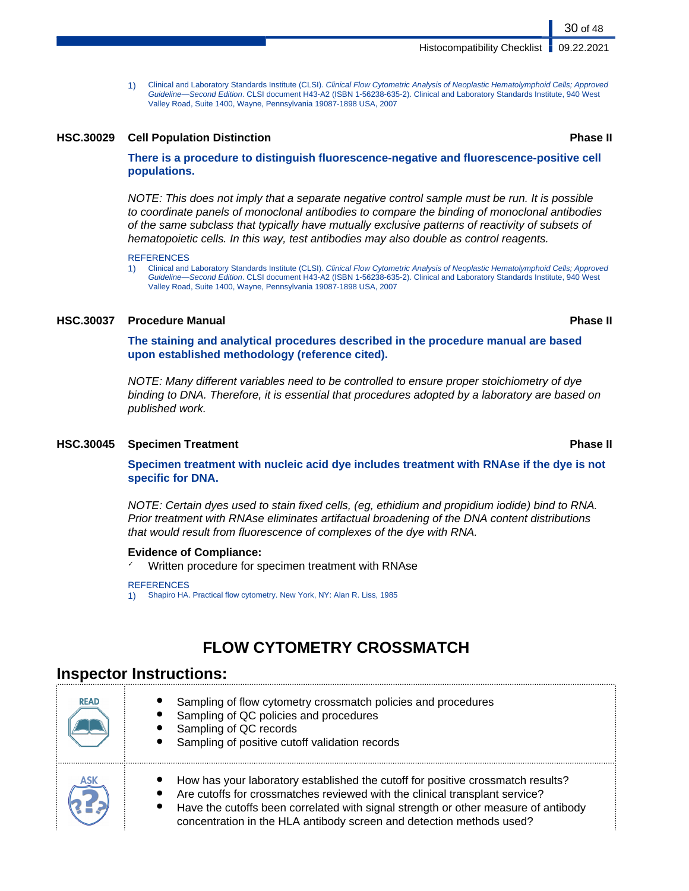1) Clinical and Laboratory Standards Institute (CLSI). Clinical Flow Cytometric Analysis of Neoplastic Hematolymphoid Cells; Approved Guideline—Second Edition. CLSI document H43-A2 (ISBN 1-56238-635-2). Clinical and Laboratory Standards Institute, 940 West Valley Road, Suite 1400, Wayne, Pennsylvania 19087-1898 USA, 2007

#### **HSC.30029 Cell Population Distinction Phase II**

**There is a procedure to distinguish fluorescence-negative and fluorescence-positive cell populations.**

NOTE: This does not imply that a separate negative control sample must be run. It is possible to coordinate panels of monoclonal antibodies to compare the binding of monoclonal antibodies of the same subclass that typically have mutually exclusive patterns of reactivity of subsets of hematopoietic cells. In this way, test antibodies may also double as control reagents.

#### **REFERENCES**

1) Clinical and Laboratory Standards Institute (CLSI). Clinical Flow Cytometric Analysis of Neoplastic Hematolymphoid Cells; Approved Guideline—Second Edition. CLSI document H43-A2 (ISBN 1-56238-635-2). Clinical and Laboratory Standards Institute, 940 West Valley Road, Suite 1400, Wayne, Pennsylvania 19087-1898 USA, 2007

#### **HSC.30037 Procedure Manual Phase II**

**The staining and analytical procedures described in the procedure manual are based upon established methodology (reference cited).**

NOTE: Many different variables need to be controlled to ensure proper stoichiometry of dye binding to DNA. Therefore, it is essential that procedures adopted by a laboratory are based on published work.

#### **HSC.30045 Specimen Treatment Phase II**

**Specimen treatment with nucleic acid dye includes treatment with RNAse if the dye is not specific for DNA.**

NOTE: Certain dyes used to stain fixed cells, (eg, ethidium and propidium iodide) bind to RNA. Prior treatment with RNAse eliminates artifactual broadening of the DNA content distributions that would result from fluorescence of complexes of the dye with RNA.

#### **Evidence of Compliance:**

✓ Written procedure for specimen treatment with RNAse

#### **REFERENCES**

1) Shapiro HA. Practical flow cytometry. New York, NY: Alan R. Liss, 1985

## **FLOW CYTOMETRY CROSSMATCH**

### **Inspector Instructions:**

| <b>READ</b> | Sampling of flow cytometry crossmatch policies and procedures<br>Sampling of QC policies and procedures<br>Sampling of QC records<br>Sampling of positive cutoff validation records                                                                                                                                          |
|-------------|------------------------------------------------------------------------------------------------------------------------------------------------------------------------------------------------------------------------------------------------------------------------------------------------------------------------------|
| <b>ASK</b>  | How has your laboratory established the cutoff for positive crossmatch results?<br>Are cutoffs for crossmatches reviewed with the clinical transplant service?<br>Have the cutoffs been correlated with signal strength or other measure of antibody<br>concentration in the HLA antibody screen and detection methods used? |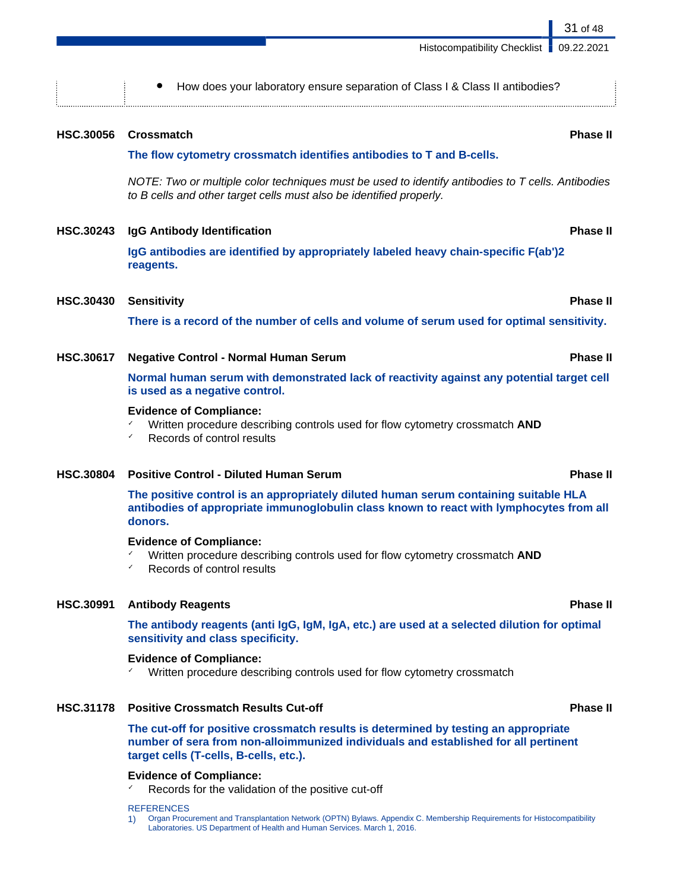|                  | How does your laboratory ensure separation of Class I & Class II antibodies?                                                                                                               |                 |
|------------------|--------------------------------------------------------------------------------------------------------------------------------------------------------------------------------------------|-----------------|
| <b>HSC.30056</b> | <b>Crossmatch</b>                                                                                                                                                                          | <b>Phase II</b> |
|                  | The flow cytometry crossmatch identifies antibodies to T and B-cells.                                                                                                                      |                 |
|                  | NOTE: Two or multiple color techniques must be used to identify antibodies to T cells. Antibodies<br>to B cells and other target cells must also be identified properly.                   |                 |
| <b>HSC.30243</b> | IgG Antibody Identification                                                                                                                                                                | <b>Phase II</b> |
|                  | IgG antibodies are identified by appropriately labeled heavy chain-specific F(ab')2<br>reagents.                                                                                           |                 |
| <b>HSC.30430</b> | <b>Sensitivity</b>                                                                                                                                                                         | <b>Phase II</b> |
|                  | There is a record of the number of cells and volume of serum used for optimal sensitivity.                                                                                                 |                 |
| <b>HSC.30617</b> | <b>Negative Control - Normal Human Serum</b>                                                                                                                                               | <b>Phase II</b> |
|                  | Normal human serum with demonstrated lack of reactivity against any potential target cell<br>is used as a negative control.                                                                |                 |
|                  | <b>Evidence of Compliance:</b><br>Written procedure describing controls used for flow cytometry crossmatch AND<br>Records of control results<br>✓                                          |                 |
| <b>HSC.30804</b> | <b>Positive Control - Diluted Human Serum</b>                                                                                                                                              | <b>Phase II</b> |
|                  | The positive control is an appropriately diluted human serum containing suitable HLA<br>antibodies of appropriate immunoglobulin class known to react with lymphocytes from all<br>donors. |                 |
|                  | <b>Evidence of Compliance:</b><br>Written procedure describing controls used for flow cytometry crossmatch AND<br>Records of control results                                               |                 |
| <b>HSC.30991</b> | <b>Antibody Reagents</b>                                                                                                                                                                   | <b>Phase II</b> |
|                  | The antibody reagents (anti IgG, IgM, IgA, etc.) are used at a selected dilution for optimal<br>sensitivity and class specificity.                                                         |                 |
|                  | <b>Evidence of Compliance:</b>                                                                                                                                                             |                 |

✓ Written procedure describing controls used for flow cytometry crossmatch

### **HSC.31178 Positive Crossmatch Results Cut-off Phase II**

**The cut-off for positive crossmatch results is determined by testing an appropriate number of sera from non-alloimmunized individuals and established for all pertinent target cells (T-cells, B-cells, etc.).**

### **Evidence of Compliance:**

✓ Records for the validation of the positive cut-off

#### **REFERENCES**

1) Organ Procurement and Transplantation Network (OPTN) Bylaws. Appendix C. Membership Requirements for Histocompatibility Laboratories. US Department of Health and Human Services. March 1, 2016.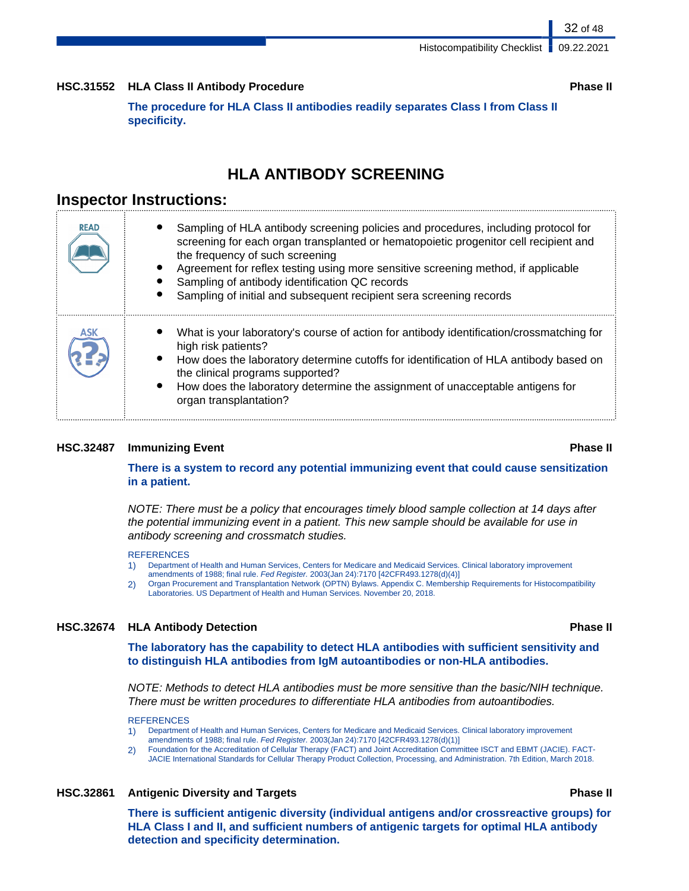#### **HSC.31552 HLA Class II Antibody Procedure Phase II**

**The procedure for HLA Class II antibodies readily separates Class I from Class II specificity.**

## **HLA ANTIBODY SCREENING**

## **Inspector Instructions:**

| <b>READ</b> | Sampling of HLA antibody screening policies and procedures, including protocol for<br>screening for each organ transplanted or hematopoietic progenitor cell recipient and<br>the frequency of such screening<br>Agreement for reflex testing using more sensitive screening method, if applicable<br>Sampling of antibody identification QC records<br>Sampling of initial and subsequent recipient sera screening records |
|-------------|-----------------------------------------------------------------------------------------------------------------------------------------------------------------------------------------------------------------------------------------------------------------------------------------------------------------------------------------------------------------------------------------------------------------------------|
|             | What is your laboratory's course of action for antibody identification/crossmatching for<br>high risk patients?<br>How does the laboratory determine cutoffs for identification of HLA antibody based on<br>the clinical programs supported?<br>How does the laboratory determine the assignment of unacceptable antigens for<br>organ transplantation?                                                                     |

#### **HSC.32487 Immunizing Event Phase II**

#### **There is a system to record any potential immunizing event that could cause sensitization in a patient.**

NOTE: There must be a policy that encourages timely blood sample collection at 14 days after the potential immunizing event in a patient. This new sample should be available for use in antibody screening and crossmatch studies.

#### **REFERENCES**

- 1) Department of Health and Human Services, Centers for Medicare and Medicaid Services. Clinical laboratory improvement amendments of 1988; final rule. Fed Register. 2003(Jan 24):7170 [42CFR493.1278(d)(4)]
- 2) Organ Procurement and Transplantation Network (OPTN) Bylaws. Appendix C. Membership Requirements for Histocompatibility Laboratories. US Department of Health and Human Services. November 20, 2018.

#### **HSC.32674 HLA Antibody Detection Phase II**

**The laboratory has the capability to detect HLA antibodies with sufficient sensitivity and to distinguish HLA antibodies from IgM autoantibodies or non-HLA antibodies.**

NOTE: Methods to detect HLA antibodies must be more sensitive than the basic/NIH technique. There must be written procedures to differentiate HLA antibodies from autoantibodies.

#### **REFERENCES**

- 1) Department of Health and Human Services, Centers for Medicare and Medicaid Services. Clinical laboratory improvement amendments of 1988; final rule. Fed Register. 2003(Jan 24):7170 [42CFR493.1278(d)(1)]
- 2) Foundation for the Accreditation of Cellular Therapy (FACT) and Joint Accreditation Committee ISCT and EBMT (JACIE). FACT-JACIE International Standards for Cellular Therapy Product Collection, Processing, and Administration. 7th Edition, March 2018.

#### **HSC.32861 Antigenic Diversity and Targets Phase II**

**There is sufficient antigenic diversity (individual antigens and/or crossreactive groups) for HLA Class I and II, and sufficient numbers of antigenic targets for optimal HLA antibody detection and specificity determination.**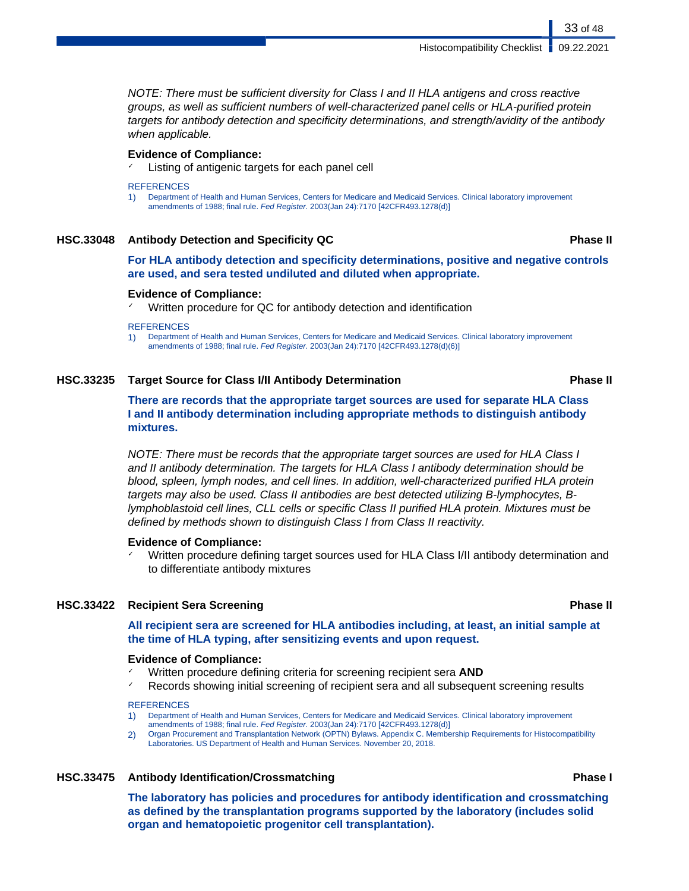NOTE: There must be sufficient diversity for Class I and II HLA antigens and cross reactive groups, as well as sufficient numbers of well-characterized panel cells or HLA-purified protein targets for antibody detection and specificity determinations, and strength/avidity of the antibody when applicable.

#### **Evidence of Compliance:**

Listing of antigenic targets for each panel cell

#### **REFERENCES**

1) Department of Health and Human Services, Centers for Medicare and Medicaid Services. Clinical laboratory improvement amendments of 1988; final rule. Fed Register. 2003(Jan 24):7170 [42CFR493.1278(d)]

#### **HSC.33048 Antibody Detection and Specificity QC Phase II**

#### **For HLA antibody detection and specificity determinations, positive and negative controls are used, and sera tested undiluted and diluted when appropriate.**

#### **Evidence of Compliance:**

Written procedure for QC for antibody detection and identification

#### **REFERENCES**

1) Department of Health and Human Services, Centers for Medicare and Medicaid Services. Clinical laboratory improvement amendments of 1988; final rule. Fed Register. 2003(Jan 24):7170 [42CFR493.1278(d)(6)]

#### **HSC.33235 Target Source for Class I/II Antibody Determination Phase II**

### **There are records that the appropriate target sources are used for separate HLA Class I and II antibody determination including appropriate methods to distinguish antibody mixtures.**

NOTE: There must be records that the appropriate target sources are used for HLA Class I and II antibody determination. The targets for HLA Class I antibody determination should be blood, spleen, lymph nodes, and cell lines. In addition, well-characterized purified HLA protein targets may also be used. Class II antibodies are best detected utilizing B-lymphocytes, Blymphoblastoid cell lines, CLL cells or specific Class II purified HLA protein. Mixtures must be defined by methods shown to distinguish Class I from Class II reactivity.

#### **Evidence of Compliance:**

Written procedure defining target sources used for HLA Class I/II antibody determination and to differentiate antibody mixtures

#### **HSC.33422 Recipient Sera Screening Phase II**

### **All recipient sera are screened for HLA antibodies including, at least, an initial sample at the time of HLA typing, after sensitizing events and upon request.**

#### **Evidence of Compliance:**

- Written procedure defining criteria for screening recipient sera **AND**
- ✓ Records showing initial screening of recipient sera and all subsequent screening results

#### **REFERENCES**

- 1) Department of Health and Human Services, Centers for Medicare and Medicaid Services. Clinical laboratory improvement amendments of 1988; final rule. Fed Register. 2003(Jan 24):7170 [42CFR493.1278(d)]
- 2) Organ Procurement and Transplantation Network (OPTN) Bylaws. Appendix C. Membership Requirements for Histocompatibility Laboratories. US Department of Health and Human Services. November 20, 2018.

#### **HSC.33475 Antibody Identification/Crossmatching Phase I**

**The laboratory has policies and procedures for antibody identification and crossmatching as defined by the transplantation programs supported by the laboratory (includes solid organ and hematopoietic progenitor cell transplantation).**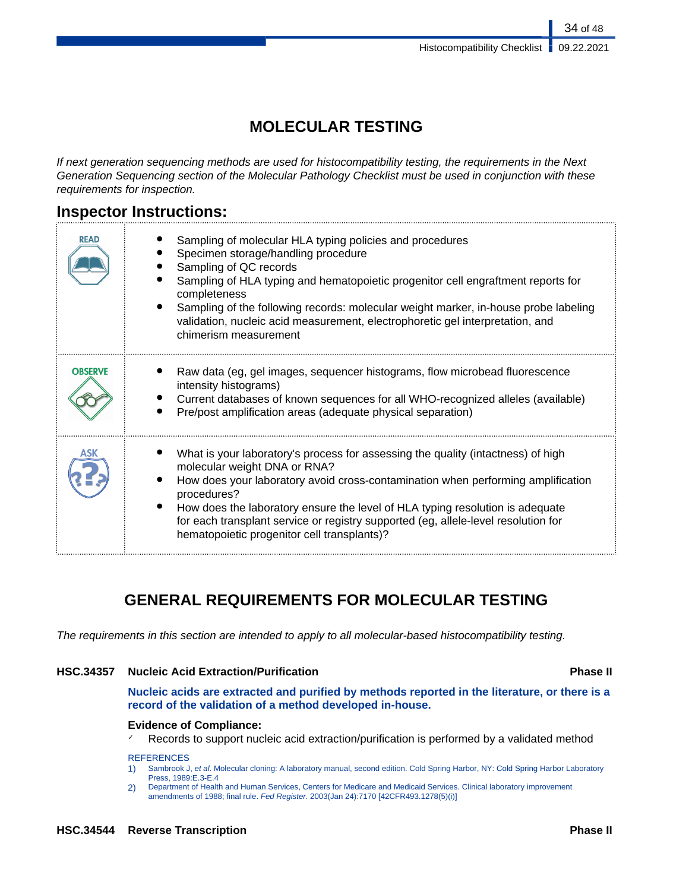34 of 48

## **MOLECULAR TESTING**

If next generation sequencing methods are used for histocompatibility testing, the requirements in the Next Generation Sequencing section of the Molecular Pathology Checklist must be used in conjunction with these requirements for inspection.

## **Inspector Instructions:**

| <b>READ</b>    | Sampling of molecular HLA typing policies and procedures<br>Specimen storage/handling procedure<br>Sampling of QC records<br>Sampling of HLA typing and hematopoietic progenitor cell engraftment reports for<br>completeness<br>Sampling of the following records: molecular weight marker, in-house probe labeling<br>validation, nucleic acid measurement, electrophoretic gel interpretation, and<br>chimerism measurement            |
|----------------|-------------------------------------------------------------------------------------------------------------------------------------------------------------------------------------------------------------------------------------------------------------------------------------------------------------------------------------------------------------------------------------------------------------------------------------------|
| <b>OBSERVE</b> | Raw data (eg, gel images, sequencer histograms, flow microbead fluorescence<br>intensity histograms)<br>Current databases of known sequences for all WHO-recognized alleles (available)<br>Pre/post amplification areas (adequate physical separation)                                                                                                                                                                                    |
|                | What is your laboratory's process for assessing the quality (intactness) of high<br>molecular weight DNA or RNA?<br>How does your laboratory avoid cross-contamination when performing amplification<br>procedures?<br>How does the laboratory ensure the level of HLA typing resolution is adequate<br>for each transplant service or registry supported (eg, allele-level resolution for<br>hematopoietic progenitor cell transplants)? |

## **GENERAL REQUIREMENTS FOR MOLECULAR TESTING**

The requirements in this section are intended to apply to all molecular-based histocompatibility testing.

### **HSC.34357 Nucleic Acid Extraction/Purification Phase II**

**Nucleic acids are extracted and purified by methods reported in the literature, or there is a record of the validation of a method developed in-house.**

#### **Evidence of Compliance:**

 $\checkmark$  Records to support nucleic acid extraction/purification is performed by a validated method

#### **REFERENCES**

1) Sambrook J, et al. Molecular cloning: A laboratory manual, second edition. Cold Spring Harbor, NY: Cold Spring Harbor Laboratory Press, 1989:E.3-E.4

2) Department of Health and Human Services, Centers for Medicare and Medicaid Services. Clinical laboratory improvement amendments of 1988; final rule. Fed Register. 2003(Jan 24):7170 [42CFR493.1278(5)(i)]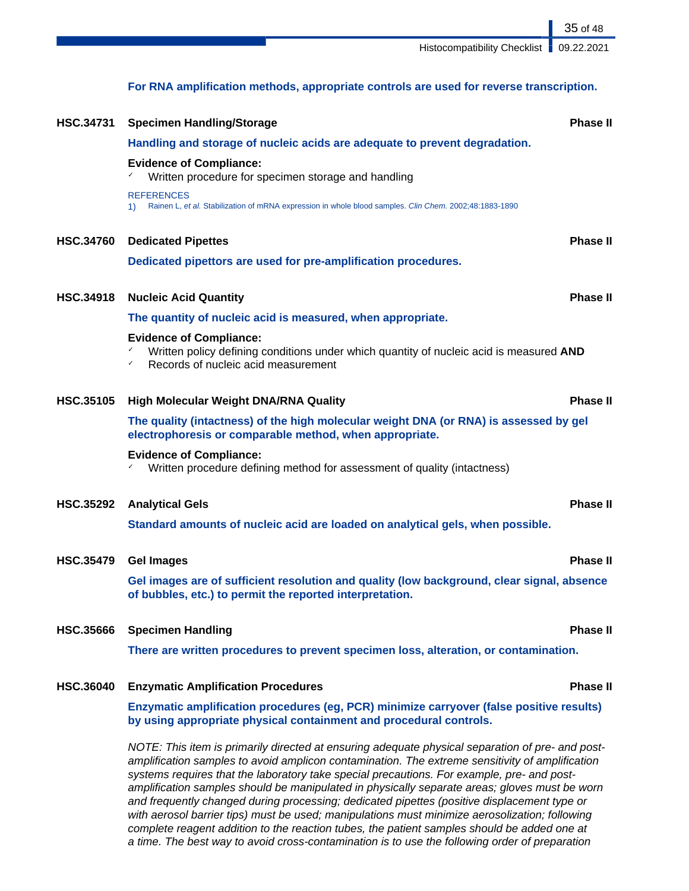35 of 48

## **For RNA amplification methods, appropriate controls are used for reverse transcription.**

| <b>HSC.34731</b> | <b>Specimen Handling/Storage</b>                                                                                                                                                                                                                                                                                                                                                                                                                                                                                                                                                                                                                                                                   | <b>Phase II</b> |
|------------------|----------------------------------------------------------------------------------------------------------------------------------------------------------------------------------------------------------------------------------------------------------------------------------------------------------------------------------------------------------------------------------------------------------------------------------------------------------------------------------------------------------------------------------------------------------------------------------------------------------------------------------------------------------------------------------------------------|-----------------|
|                  | Handling and storage of nucleic acids are adequate to prevent degradation.                                                                                                                                                                                                                                                                                                                                                                                                                                                                                                                                                                                                                         |                 |
|                  | <b>Evidence of Compliance:</b><br>✓<br>Written procedure for specimen storage and handling                                                                                                                                                                                                                                                                                                                                                                                                                                                                                                                                                                                                         |                 |
|                  | <b>REFERENCES</b><br>Rainen L, et al. Stabilization of mRNA expression in whole blood samples. Clin Chem. 2002;48:1883-1890<br>1)                                                                                                                                                                                                                                                                                                                                                                                                                                                                                                                                                                  |                 |
| <b>HSC.34760</b> | <b>Dedicated Pipettes</b>                                                                                                                                                                                                                                                                                                                                                                                                                                                                                                                                                                                                                                                                          | <b>Phase II</b> |
|                  | Dedicated pipettors are used for pre-amplification procedures.                                                                                                                                                                                                                                                                                                                                                                                                                                                                                                                                                                                                                                     |                 |
| <b>HSC.34918</b> | <b>Nucleic Acid Quantity</b>                                                                                                                                                                                                                                                                                                                                                                                                                                                                                                                                                                                                                                                                       | <b>Phase II</b> |
|                  | The quantity of nucleic acid is measured, when appropriate.                                                                                                                                                                                                                                                                                                                                                                                                                                                                                                                                                                                                                                        |                 |
|                  | <b>Evidence of Compliance:</b><br>✓<br>Written policy defining conditions under which quantity of nucleic acid is measured AND<br>Records of nucleic acid measurement<br>✓                                                                                                                                                                                                                                                                                                                                                                                                                                                                                                                         |                 |
| <b>HSC.35105</b> | <b>High Molecular Weight DNA/RNA Quality</b>                                                                                                                                                                                                                                                                                                                                                                                                                                                                                                                                                                                                                                                       | <b>Phase II</b> |
|                  | The quality (intactness) of the high molecular weight DNA (or RNA) is assessed by gel<br>electrophoresis or comparable method, when appropriate.                                                                                                                                                                                                                                                                                                                                                                                                                                                                                                                                                   |                 |
|                  | <b>Evidence of Compliance:</b><br>Written procedure defining method for assessment of quality (intactness)<br>✓                                                                                                                                                                                                                                                                                                                                                                                                                                                                                                                                                                                    |                 |
| <b>HSC.35292</b> | <b>Analytical Gels</b>                                                                                                                                                                                                                                                                                                                                                                                                                                                                                                                                                                                                                                                                             | <b>Phase II</b> |
|                  | Standard amounts of nucleic acid are loaded on analytical gels, when possible.                                                                                                                                                                                                                                                                                                                                                                                                                                                                                                                                                                                                                     |                 |
| <b>HSC.35479</b> | <b>Gel Images</b>                                                                                                                                                                                                                                                                                                                                                                                                                                                                                                                                                                                                                                                                                  | <b>Phase II</b> |
|                  | Gel images are of sufficient resolution and quality (low background, clear signal, absence<br>of bubbles, etc.) to permit the reported interpretation.                                                                                                                                                                                                                                                                                                                                                                                                                                                                                                                                             |                 |
| <b>HSC.35666</b> | <b>Specimen Handling</b>                                                                                                                                                                                                                                                                                                                                                                                                                                                                                                                                                                                                                                                                           | <b>Phase II</b> |
|                  | There are written procedures to prevent specimen loss, alteration, or contamination.                                                                                                                                                                                                                                                                                                                                                                                                                                                                                                                                                                                                               |                 |
| <b>HSC.36040</b> | <b>Enzymatic Amplification Procedures</b>                                                                                                                                                                                                                                                                                                                                                                                                                                                                                                                                                                                                                                                          | <b>Phase II</b> |
|                  | Enzymatic amplification procedures (eg, PCR) minimize carryover (false positive results)<br>by using appropriate physical containment and procedural controls.                                                                                                                                                                                                                                                                                                                                                                                                                                                                                                                                     |                 |
|                  | NOTE: This item is primarily directed at ensuring adequate physical separation of pre- and post-<br>amplification samples to avoid amplicon contamination. The extreme sensitivity of amplification<br>systems requires that the laboratory take special precautions. For example, pre- and post-<br>amplification samples should be manipulated in physically separate areas; gloves must be worn<br>and frequently changed during processing; dedicated pipettes (positive displacement type or<br>with aerosol barrier tips) must be used; manipulations must minimize aerosolization; following<br>complete reagent addition to the reaction tubes, the patient samples should be added one at |                 |

a time. The best way to avoid cross-contamination is to use the following order of preparation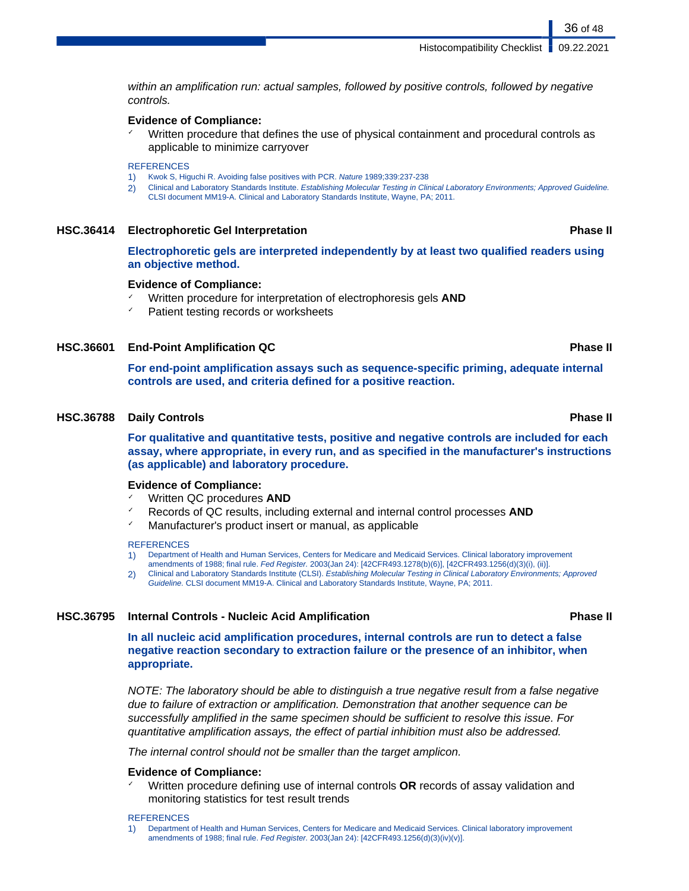within an amplification run: actual samples, followed by positive controls, followed by negative controls.

#### **Evidence of Compliance:**

Written procedure that defines the use of physical containment and procedural controls as applicable to minimize carryover

#### **REFERENCES**

- 1) Kwok S, Higuchi R. Avoiding false positives with PCR. Nature 1989;339:237-238
- 2) Clinical and Laboratory Standards Institute. Establishing Molecular Testing in Clinical Laboratory Environments; Approved Guideline. CLSI document MM19-A. Clinical and Laboratory Standards Institute, Wayne, PA; 2011.

#### **HSC.36414 Electrophoretic Gel Interpretation Phase II**

**Electrophoretic gels are interpreted independently by at least two qualified readers using an objective method.**

#### **Evidence of Compliance:**

- Written procedure for interpretation of electrophoresis gels **AND**
- Patient testing records or worksheets

#### **HSC.36601 End-Point Amplification QC Phase II**

**For end-point amplification assays such as sequence-specific priming, adequate internal controls are used, and criteria defined for a positive reaction.**

#### **HSC.36788 Daily Controls Phase II**

**For qualitative and quantitative tests, positive and negative controls are included for each assay, where appropriate, in every run, and as specified in the manufacturer's instructions (as applicable) and laboratory procedure.**

#### **Evidence of Compliance:**

- ✓ Written QC procedures **AND**
- Records of QC results, including external and internal control processes **AND**
- Manufacturer's product insert or manual, as applicable

#### **REFERENCES**

- 1) Department of Health and Human Services, Centers for Medicare and Medicaid Services. Clinical laboratory improvement
- amendments of 1988; final rule. Fed Register. 2003(Jan 24): [42CFR493.1278(b)(6)], [42CFR493.1256(d)(3)(i), (ii)]. 2) Clinical and Laboratory Standards Institute (CLSI). Establishing Molecular Testing in Clinical Laboratory Environments; Approved
- Guideline. CLSI document MM19-A. Clinical and Laboratory Standards Institute, Wayne, PA; 2011.

### **HSC.36795 Internal Controls - Nucleic Acid Amplification Phase II**

**In all nucleic acid amplification procedures, internal controls are run to detect a false negative reaction secondary to extraction failure or the presence of an inhibitor, when appropriate.**

NOTE: The laboratory should be able to distinguish a true negative result from a false negative due to failure of extraction or amplification. Demonstration that another sequence can be successfully amplified in the same specimen should be sufficient to resolve this issue. For quantitative amplification assays, the effect of partial inhibition must also be addressed.

The internal control should not be smaller than the target amplicon.

### **Evidence of Compliance:**

✓ Written procedure defining use of internal controls **OR** records of assay validation and monitoring statistics for test result trends

#### **REFERENCES**

1) Department of Health and Human Services, Centers for Medicare and Medicaid Services. Clinical laboratory improvement amendments of 1988; final rule. Fed Register. 2003(Jan 24): [42CFR493.1256(d)(3)(iv)(v)].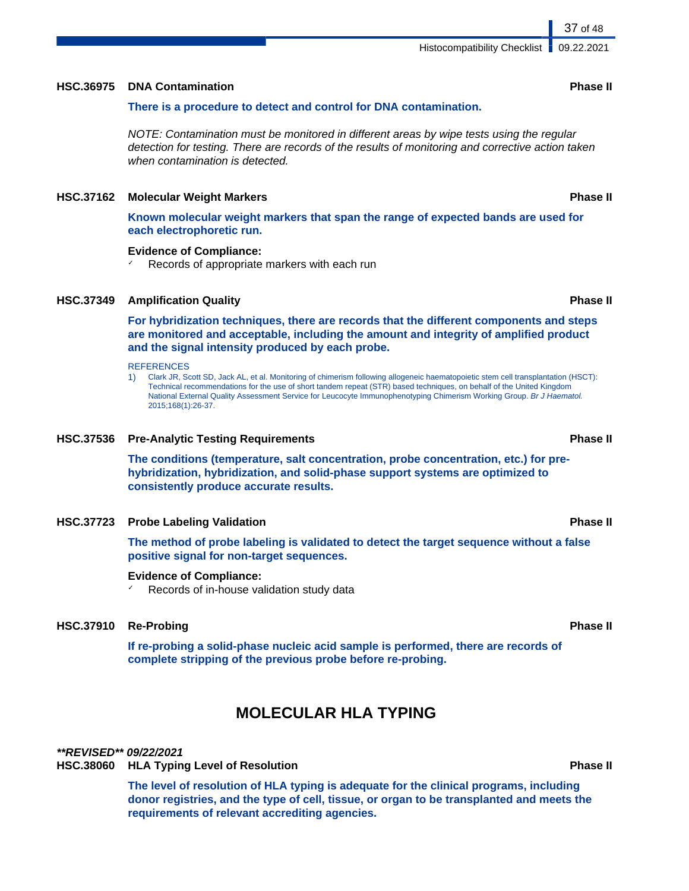### **HSC.36975 DNA Contamination Phase II**

### **There is a procedure to detect and control for DNA contamination.**

NOTE: Contamination must be monitored in different areas by wipe tests using the regular detection for testing. There are records of the results of monitoring and corrective action taken when contamination is detected.

### **HSC.37162 Molecular Weight Markers Phase II**

**Known molecular weight markers that span the range of expected bands are used for each electrophoretic run.**

### **Evidence of Compliance:**

Records of appropriate markers with each run

### **HSC.37349 Amplification Quality Phase II**

**For hybridization techniques, there are records that the different components and steps are monitored and acceptable, including the amount and integrity of amplified product and the signal intensity produced by each probe.**

### **REFERENCES**

1) Clark JR, Scott SD, Jack AL, et al. Monitoring of chimerism following allogeneic haematopoietic stem cell transplantation (HSCT): Technical recommendations for the use of short tandem repeat (STR) based techniques, on behalf of the United Kingdom National External Quality Assessment Service for Leucocyte Immunophenotyping Chimerism Working Group. Br J Haematol. 2015;168(1):26-37.

### **HSC.37536 Pre-Analytic Testing Requirements Phase II**

**The conditions (temperature, salt concentration, probe concentration, etc.) for prehybridization, hybridization, and solid-phase support systems are optimized to consistently produce accurate results.**

### **HSC.37723 Probe Labeling Validation Phase II**

**The method of probe labeling is validated to detect the target sequence without a false positive signal for non-target sequences.**

### **Evidence of Compliance:**

Records of in-house validation study data

## **HSC.37910 Re-Probing Phase II**

**If re-probing a solid-phase nucleic acid sample is performed, there are records of complete stripping of the previous probe before re-probing.**

## **MOLECULAR HLA TYPING**

### **\*\*REVISED\*\* 09/22/2021**

### **HSC.38060 HLA Typing Level of Resolution Phase II**

**The level of resolution of HLA typing is adequate for the clinical programs, including donor registries, and the type of cell, tissue, or organ to be transplanted and meets the requirements of relevant accrediting agencies.**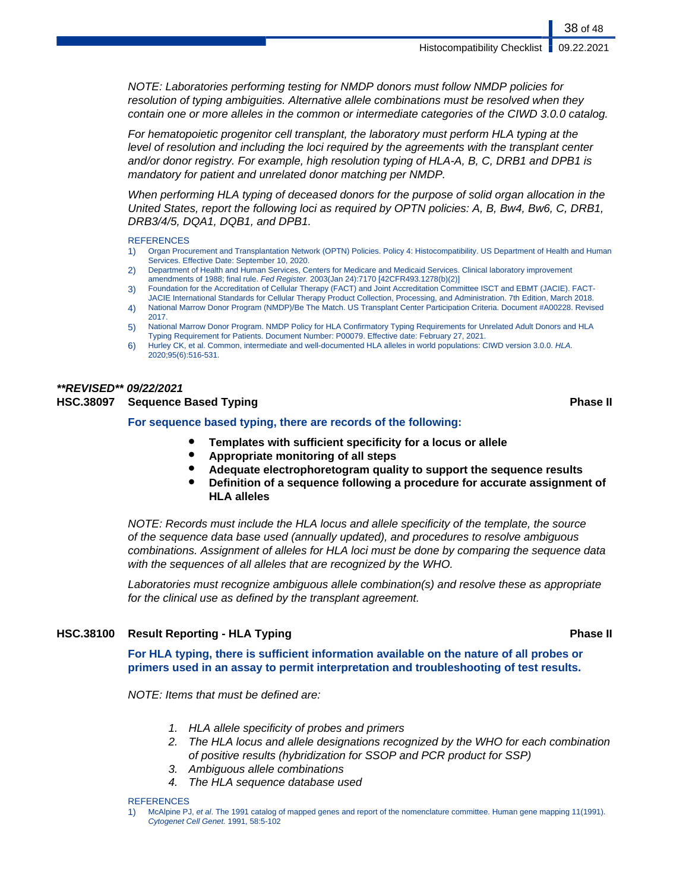NOTE: Laboratories performing testing for NMDP donors must follow NMDP policies for resolution of typing ambiguities. Alternative allele combinations must be resolved when they contain one or more alleles in the common or intermediate categories of the CIWD 3.0.0 catalog.

For hematopoietic progenitor cell transplant, the laboratory must perform HLA typing at the level of resolution and including the loci required by the agreements with the transplant center and/or donor registry. For example, high resolution typing of HLA-A, B, C, DRB1 and DPB1 is mandatory for patient and unrelated donor matching per NMDP.

When performing HLA typing of deceased donors for the purpose of solid organ allocation in the United States, report the following loci as required by OPTN policies: A, B, Bw4, Bw6, C, DRB1, DRB3/4/5, DQA1, DQB1, and DPB1.

#### **REFERENCES**

- 1) Organ Procurement and Transplantation Network (OPTN) Policies. Policy 4: Histocompatibility. US Department of Health and Human Services. Effective Date: September 10, 2020.
- 2) Department of Health and Human Services, Centers for Medicare and Medicaid Services. Clinical laboratory improvement amendments of 1988; final rule. Fed Register. 2003(Jan 24):7170 [42CFR493.1278(b)(2)]
- 3) Foundation for the Accreditation of Cellular Therapy (FACT) and Joint Accreditation Committee ISCT and EBMT (JACIE). FACT-
- JACIE International Standards for Cellular Therapy Product Collection, Processing, and Administration. 7th Edition, March 2018. 4) National Marrow Donor Program (NMDP)/Be The Match. US Transplant Center Participation Criteria. Document #A00228. Revised 2017.
- 5) National Marrow Donor Program. NMDP Policy for HLA Confirmatory Typing Requirements for Unrelated Adult Donors and HLA Typing Requirement for Patients. Document Number: P00079. Effective date: February 27, 2021.
- 6) Hurley CK, et al. Common, intermediate and well-documented HLA alleles in world populations: CIWD version 3.0.0. HLA. 2020;95(6):516-531.

## **\*\*REVISED\*\* 09/22/2021**

### **HSC.38097 Sequence Based Typing Phase II**

#### **For sequence based typing, there are records of the following:**

- **Templates with sufficient specificity for a locus or allele**
- **Appropriate monitoring of all steps**
- **Adequate electrophoretogram quality to support the sequence results**
- **Definition of a sequence following a procedure for accurate assignment of HLA alleles**

NOTE: Records must include the HLA locus and allele specificity of the template, the source of the sequence data base used (annually updated), and procedures to resolve ambiguous combinations. Assignment of alleles for HLA loci must be done by comparing the sequence data with the sequences of all alleles that are recognized by the WHO.

Laboratories must recognize ambiguous allele combination(s) and resolve these as appropriate for the clinical use as defined by the transplant agreement.

### **HSC.38100 Result Reporting - HLA Typing Phase II**

**For HLA typing, there is sufficient information available on the nature of all probes or primers used in an assay to permit interpretation and troubleshooting of test results.**

NOTE: Items that must be defined are:

- 1. HLA allele specificity of probes and primers
- 2. The HLA locus and allele designations recognized by the WHO for each combination of positive results (hybridization for SSOP and PCR product for SSP)
- 3. Ambiguous allele combinations
- 4. The HLA sequence database used

### **REFERENCES**

1) McAlpine PJ, et al. The 1991 catalog of mapped genes and report of the nomenclature committee. Human gene mapping 11(1991). Cytogenet Cell Genet. 1991, 58:5-102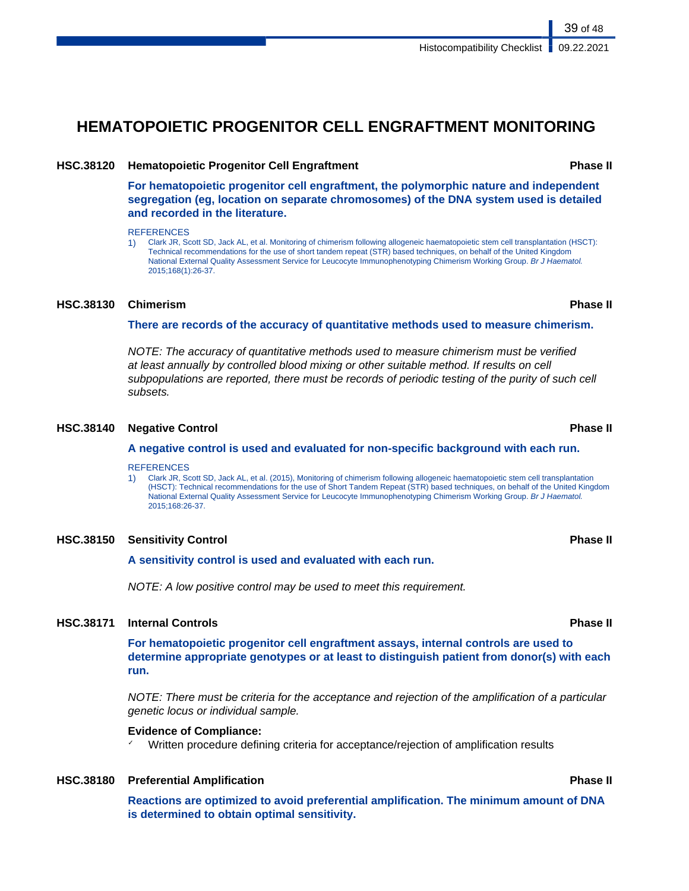## **HEMATOPOIETIC PROGENITOR CELL ENGRAFTMENT MONITORING**

#### **HSC.38120 Hematopoietic Progenitor Cell Engraftment Phase II**

**For hematopoietic progenitor cell engraftment, the polymorphic nature and independent segregation (eg, location on separate chromosomes) of the DNA system used is detailed and recorded in the literature.**

#### **REFERENCES**

1) Clark JR, Scott SD, Jack AL, et al. Monitoring of chimerism following allogeneic haematopoietic stem cell transplantation (HSCT): Technical recommendations for the use of short tandem repeat (STR) based techniques, on behalf of the United Kingdom National External Quality Assessment Service for Leucocyte Immunophenotyping Chimerism Working Group. Br J Haematol. 2015;168(1):26-37.

#### **HSC.38130 Chimerism Phase II**

**There are records of the accuracy of quantitative methods used to measure chimerism.**

NOTE: The accuracy of quantitative methods used to measure chimerism must be verified at least annually by controlled blood mixing or other suitable method. If results on cell subpopulations are reported, there must be records of periodic testing of the purity of such cell subsets.

#### **HSC.38140 Negative Control Phase II**

#### **A negative control is used and evaluated for non-specific background with each run.**

#### **REFERENCES**

1) Clark JR, Scott SD, Jack AL, et al. (2015), Monitoring of chimerism following allogeneic haematopoietic stem cell transplantation (HSCT): Technical recommendations for the use of Short Tandem Repeat (STR) based techniques, on behalf of the United Kingdom National External Quality Assessment Service for Leucocyte Immunophenotyping Chimerism Working Group. Br J Haematol. 2015;168:26-37.

#### **HSC.38150 Sensitivity Control Phase II**

**A sensitivity control is used and evaluated with each run.**

NOTE: A low positive control may be used to meet this requirement.

#### **HSC.38171 Internal Controls Phase II**

**For hematopoietic progenitor cell engraftment assays, internal controls are used to determine appropriate genotypes or at least to distinguish patient from donor(s) with each run.**

NOTE: There must be criteria for the acceptance and rejection of the amplification of a particular genetic locus or individual sample.

#### **Evidence of Compliance:**

Written procedure defining criteria for acceptance/rejection of amplification results

#### **HSC.38180 Preferential Amplification Phase II**

**Reactions are optimized to avoid preferential amplification. The minimum amount of DNA is determined to obtain optimal sensitivity.**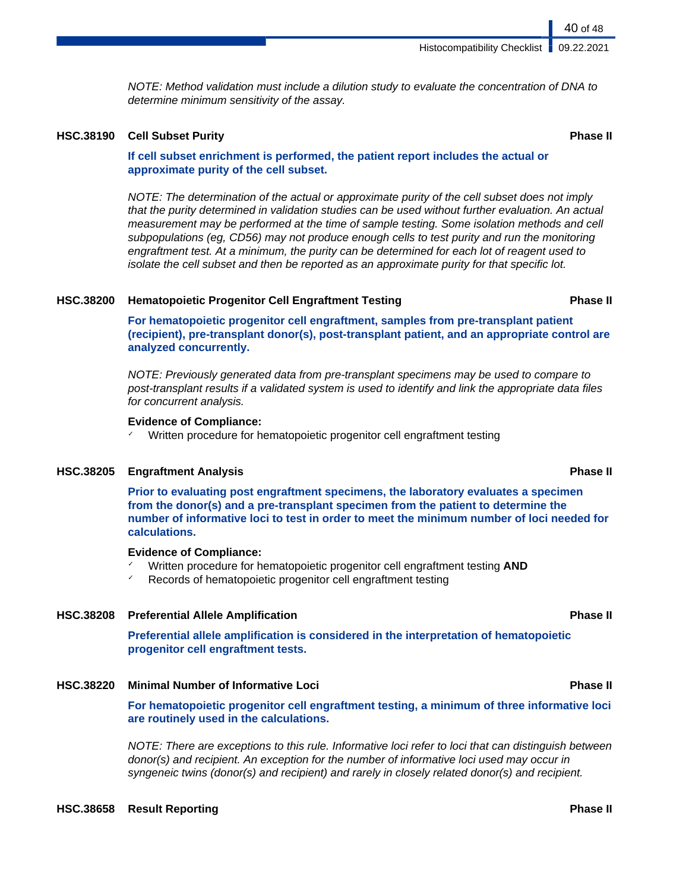NOTE: Method validation must include a dilution study to evaluate the concentration of DNA to determine minimum sensitivity of the assay.

#### **HSC.38190 Cell Subset Purity Phase II**

#### **If cell subset enrichment is performed, the patient report includes the actual or approximate purity of the cell subset.**

NOTE: The determination of the actual or approximate purity of the cell subset does not imply that the purity determined in validation studies can be used without further evaluation. An actual measurement may be performed at the time of sample testing. Some isolation methods and cell subpopulations (eg, CD56) may not produce enough cells to test purity and run the monitoring engraftment test. At a minimum, the purity can be determined for each lot of reagent used to isolate the cell subset and then be reported as an approximate purity for that specific lot.

#### **HSC.38200 Hematopoietic Progenitor Cell Engraftment Testing Phase II**

**For hematopoietic progenitor cell engraftment, samples from pre-transplant patient (recipient), pre-transplant donor(s), post-transplant patient, and an appropriate control are analyzed concurrently.**

NOTE: Previously generated data from pre-transplant specimens may be used to compare to post-transplant results if a validated system is used to identify and link the appropriate data files for concurrent analysis.

#### **Evidence of Compliance:**

Written procedure for hematopoietic progenitor cell engraftment testing

#### **HSC.38205 Engraftment Analysis Phase II**

**Prior to evaluating post engraftment specimens, the laboratory evaluates a specimen from the donor(s) and a pre-transplant specimen from the patient to determine the number of informative loci to test in order to meet the minimum number of loci needed for calculations.**

#### **Evidence of Compliance:**

- ✓ Written procedure for hematopoietic progenitor cell engraftment testing **AND**
- Records of hematopoietic progenitor cell engraftment testing

### **HSC.38208 Preferential Allele Amplification Phase II**

**Preferential allele amplification is considered in the interpretation of hematopoietic progenitor cell engraftment tests.**

**HSC.38220 Minimal Number of Informative Loci Phase II**

**For hematopoietic progenitor cell engraftment testing, a minimum of three informative loci are routinely used in the calculations.**

NOTE: There are exceptions to this rule. Informative loci refer to loci that can distinguish between donor(s) and recipient. An exception for the number of informative loci used may occur in syngeneic twins (donor(s) and recipient) and rarely in closely related donor(s) and recipient.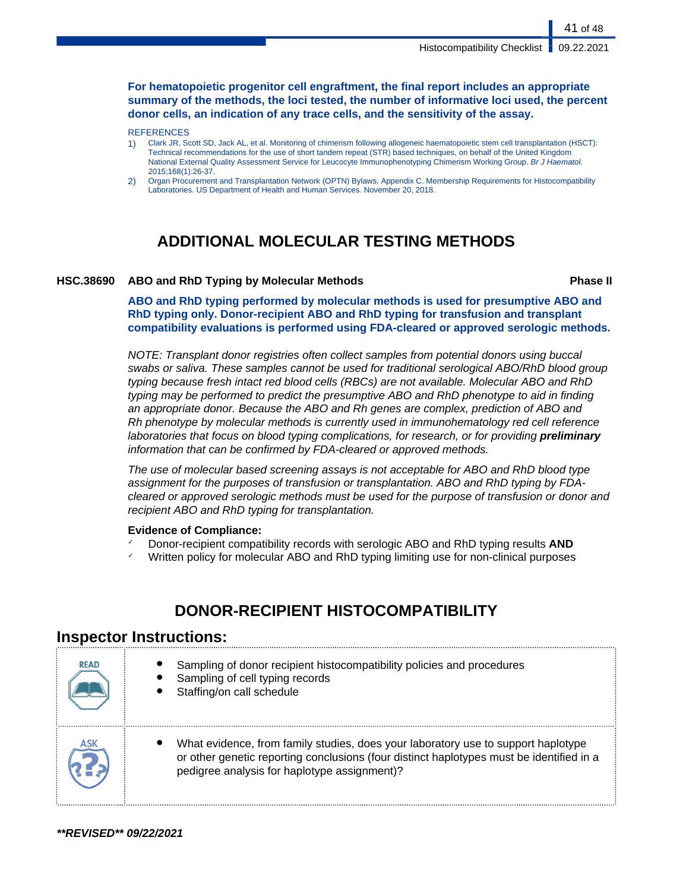**For hematopoietic progenitor cell engraftment, the final report includes an appropriate summary of the methods, the loci tested, the number of informative loci used, the percent donor cells, an indication of any trace cells, and the sensitivity of the assay.**

#### **REFERENCES**

1) Clark JR, Scott SD, Jack AL, et al. Monitoring of chimerism following allogeneic haematopoietic stem cell transplantation (HSCT): Technical recommendations for the use of short tandem repeat (STR) based techniques, on behalf of the United Kingdom National External Quality Assessment Service for Leucocyte Immunophenotyping Chimerism Working Group. Br J Haematol. 2015;168(1):26-37.

2) Organ Procurement and Transplantation Network (OPTN) Bylaws. Appendix C. Membership Requirements for Histocompatibility Laboratories. US Department of Health and Human Services. November 20, 2018.

## **ADDITIONAL MOLECULAR TESTING METHODS**

#### **HSC.38690 ABO and RhD Typing by Molecular Methods Phase II**

41 of 48

**ABO and RhD typing performed by molecular methods is used for presumptive ABO and RhD typing only. Donor-recipient ABO and RhD typing for transfusion and transplant compatibility evaluations is performed using FDA-cleared or approved serologic methods.**

NOTE: Transplant donor registries often collect samples from potential donors using buccal swabs or saliva. These samples cannot be used for traditional serological ABO/RhD blood group typing because fresh intact red blood cells (RBCs) are not available. Molecular ABO and RhD typing may be performed to predict the presumptive ABO and RhD phenotype to aid in finding an appropriate donor. Because the ABO and Rh genes are complex, prediction of ABO and Rh phenotype by molecular methods is currently used in immunohematology red cell reference laboratories that focus on blood typing complications, for research, or for providing **preliminary** information that can be confirmed by FDA-cleared or approved methods.

The use of molecular based screening assays is not acceptable for ABO and RhD blood type assignment for the purposes of transfusion or transplantation. ABO and RhD typing by FDAcleared or approved serologic methods must be used for the purpose of transfusion or donor and recipient ABO and RhD typing for transplantation.

#### **Evidence of Compliance:**

- ✓ Donor-recipient compatibility records with serologic ABO and RhD typing results **AND**
- Written policy for molecular ABO and RhD typing limiting use for non-clinical purposes

## **DONOR-RECIPIENT HISTOCOMPATIBILITY**

### **Inspector Instructions:**

| <b>READ</b> | Sampling of donor recipient histocompatibility policies and procedures<br>Sampling of cell typing records<br>Staffing/on call schedule                                                                                        |
|-------------|-------------------------------------------------------------------------------------------------------------------------------------------------------------------------------------------------------------------------------|
| ASK         | What evidence, from family studies, does your laboratory use to support haplotype<br>or other genetic reporting conclusions (four distinct haplotypes must be identified in a<br>pedigree analysis for haplotype assignment)? |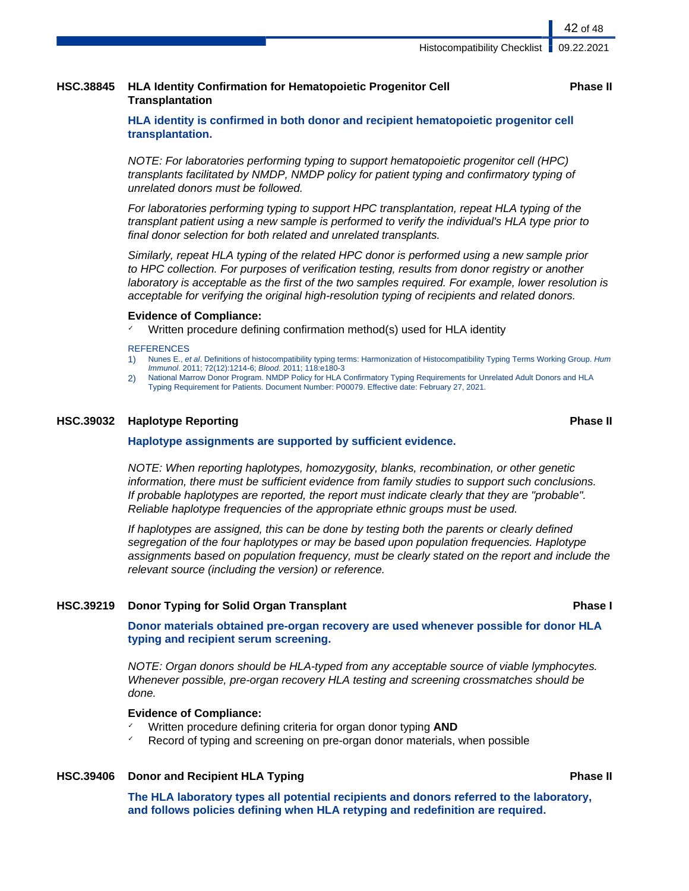### **HSC.38845 HLA Identity Confirmation for Hematopoietic Progenitor Cell Transplantation**

#### **Phase II**

42 of 48

**HLA identity is confirmed in both donor and recipient hematopoietic progenitor cell transplantation.**

NOTE: For laboratories performing typing to support hematopoietic progenitor cell (HPC) transplants facilitated by NMDP, NMDP policy for patient typing and confirmatory typing of unrelated donors must be followed.

For laboratories performing typing to support HPC transplantation, repeat HLA typing of the transplant patient using a new sample is performed to verify the individual's HLA type prior to final donor selection for both related and unrelated transplants.

Similarly, repeat HLA typing of the related HPC donor is performed using a new sample prior to HPC collection. For purposes of verification testing, results from donor registry or another laboratory is acceptable as the first of the two samples required. For example, lower resolution is acceptable for verifying the original high-resolution typing of recipients and related donors.

#### **Evidence of Compliance:**

Written procedure defining confirmation method(s) used for HLA identity

#### **REFERENCES**

- 1) Nunes E., et al. Definitions of histocompatibility typing terms: Harmonization of Histocompatibility Typing Terms Working Group. Hum Immunol. 2011; 72(12):1214-6; Blood. 2011; 118:e180-3
- 2) National Marrow Donor Program. NMDP Policy for HLA Confirmatory Typing Requirements for Unrelated Adult Donors and HLA Typing Requirement for Patients. Document Number: P00079. Effective date: February 27, 2021.

### **HSC.39032 Haplotype Reporting Phase II**

#### **Haplotype assignments are supported by sufficient evidence.**

NOTE: When reporting haplotypes, homozygosity, blanks, recombination, or other genetic information, there must be sufficient evidence from family studies to support such conclusions. If probable haplotypes are reported, the report must indicate clearly that they are "probable". Reliable haplotype frequencies of the appropriate ethnic groups must be used.

If haplotypes are assigned, this can be done by testing both the parents or clearly defined segregation of the four haplotypes or may be based upon population frequencies. Haplotype assignments based on population frequency, must be clearly stated on the report and include the relevant source (including the version) or reference.

#### **HSC.39219 Donor Typing for Solid Organ Transplant Phase I**

**Donor materials obtained pre-organ recovery are used whenever possible for donor HLA typing and recipient serum screening.**

NOTE: Organ donors should be HLA-typed from any acceptable source of viable lymphocytes. Whenever possible, pre-organ recovery HLA testing and screening crossmatches should be done.

#### **Evidence of Compliance:**

- Written procedure defining criteria for organ donor typing **AND**
- Record of typing and screening on pre-organ donor materials, when possible

#### **HSC.39406 Donor and Recipient HLA Typing Phase II**

**The HLA laboratory types all potential recipients and donors referred to the laboratory, and follows policies defining when HLA retyping and redefinition are required.**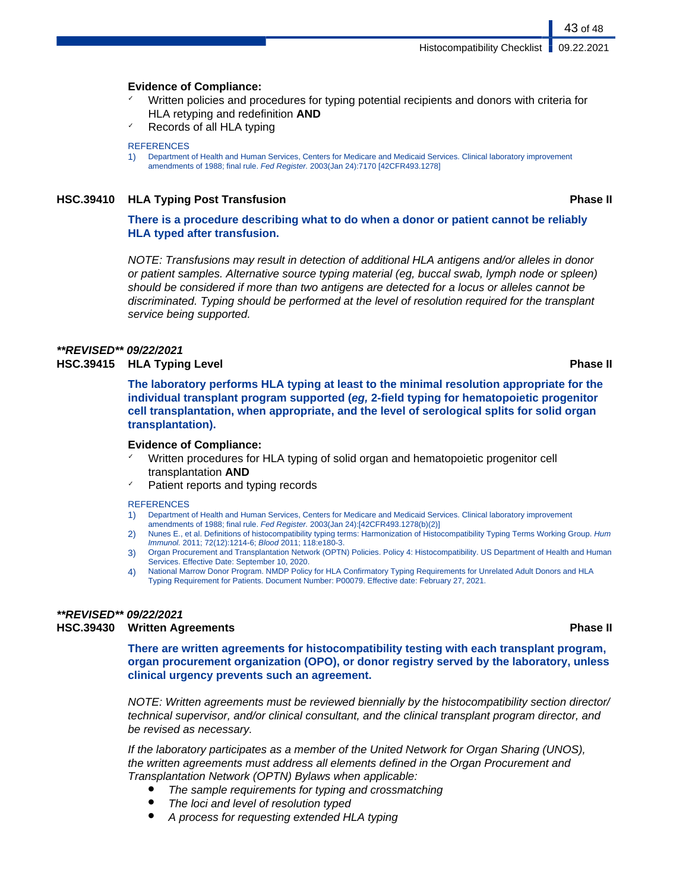#### **Evidence of Compliance:**

- Written policies and procedures for typing potential recipients and donors with criteria for HLA retyping and redefinition **AND**
- Records of all HLA typing

#### **REFERENCES**

1) Department of Health and Human Services, Centers for Medicare and Medicaid Services. Clinical laboratory improvement amendments of 1988; final rule. Fed Register. 2003(Jan 24):7170 [42CFR493.1278]

#### **HSC.39410 HLA Typing Post Transfusion Phase II**

### **There is a procedure describing what to do when a donor or patient cannot be reliably HLA typed after transfusion.**

NOTE: Transfusions may result in detection of additional HLA antigens and/or alleles in donor or patient samples. Alternative source typing material (eg, buccal swab, lymph node or spleen) should be considered if more than two antigens are detected for a locus or alleles cannot be discriminated. Typing should be performed at the level of resolution required for the transplant service being supported.

#### **\*\*REVISED\*\* 09/22/2021**

#### **HSC.39415 HLA Typing Level Phase II**

**The laboratory performs HLA typing at least to the minimal resolution appropriate for the individual transplant program supported (eg, 2-field typing for hematopoietic progenitor cell transplantation, when appropriate, and the level of serological splits for solid organ transplantation).**

#### **Evidence of Compliance:**

- Written procedures for HLA typing of solid organ and hematopoietic progenitor cell transplantation **AND**
- Patient reports and typing records

#### **REFERENCES**

- 1) Department of Health and Human Services, Centers for Medicare and Medicaid Services. Clinical laboratory improvement amendments of 1988; final rule. Fed Register. 2003(Jan 24):[42CFR493.1278(b)(2)]
- 2) Nunes E., et al. Definitions of histocompatibility typing terms: Harmonization of Histocompatibility Typing Terms Working Group. Hum Immunol. 2011; 72(12):1214-6; Blood 2011; 118:e180-3.
- 3) Organ Procurement and Transplantation Network (OPTN) Policies. Policy 4: Histocompatibility. US Department of Health and Human Services. Effective Date: September 10, 2020.
- 4) National Marrow Donor Program. NMDP Policy for HLA Confirmatory Typing Requirements for Unrelated Adult Donors and HLA Typing Requirement for Patients. Document Number: P00079. Effective date: February 27, 2021.

### **\*\*REVISED\*\* 09/22/2021**

### **HSC.39430 Written Agreements Phase II**

**There are written agreements for histocompatibility testing with each transplant program, organ procurement organization (OPO), or donor registry served by the laboratory, unless clinical urgency prevents such an agreement.**

NOTE: Written agreements must be reviewed biennially by the histocompatibility section director/ technical supervisor, and/or clinical consultant, and the clinical transplant program director, and be revised as necessary.

If the laboratory participates as a member of the United Network for Organ Sharing (UNOS), the written agreements must address all elements defined in the Organ Procurement and Transplantation Network (OPTN) Bylaws when applicable:

- The sample requirements for typing and crossmatching
- The loci and level of resolution typed
- A process for requesting extended HLA typing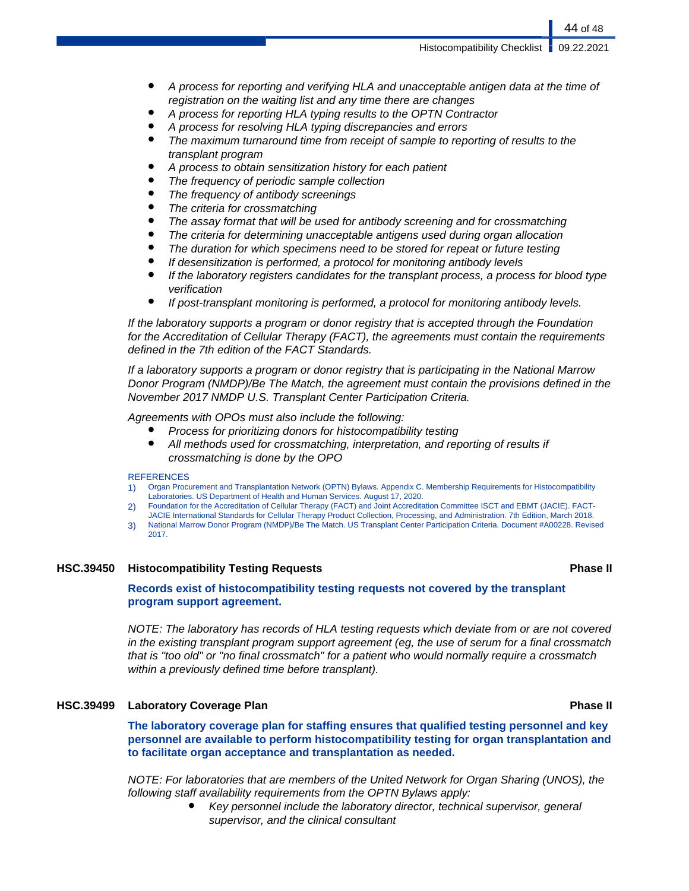Histocompatibility Checklist | 09.22.2021

- A process for reporting and verifying HLA and unacceptable antigen data at the time of registration on the waiting list and any time there are changes
- A process for reporting HLA typing results to the OPTN Contractor
- A process for resolving HLA typing discrepancies and errors
- The maximum turnaround time from receipt of sample to reporting of results to the transplant program
- A process to obtain sensitization history for each patient
- The frequency of periodic sample collection
- The frequency of antibody screenings
- The criteria for crossmatching
- The assay format that will be used for antibody screening and for crossmatching
- The criteria for determining unacceptable antigens used during organ allocation
- The duration for which specimens need to be stored for repeat or future testing
- If desensitization is performed, a protocol for monitoring antibody levels
- If the laboratory registers candidates for the transplant process, a process for blood type verification
- If post-transplant monitoring is performed, a protocol for monitoring antibody levels.

If the laboratory supports a program or donor registry that is accepted through the Foundation for the Accreditation of Cellular Therapy (FACT), the agreements must contain the requirements defined in the 7th edition of the FACT Standards.

If a laboratory supports a program or donor registry that is participating in the National Marrow Donor Program (NMDP)/Be The Match, the agreement must contain the provisions defined in the November 2017 NMDP U.S. Transplant Center Participation Criteria.

Agreements with OPOs must also include the following:

- Process for prioritizing donors for histocompatibility testing
- All methods used for crossmatching, interpretation, and reporting of results if crossmatching is done by the OPO

#### **REFERENCES**

- 1) Organ Procurement and Transplantation Network (OPTN) Bylaws. Appendix C. Membership Requirements for Histocompatibility Laboratories. US Department of Health and Human Services. August 17, 2020.
- 2) Foundation for the Accreditation of Cellular Therapy (FACT) and Joint Accreditation Committee ISCT and EBMT (JACIE). FACT-
- JACIE International Standards for Cellular Therapy Product Collection, Processing, and Administration. 7th Edition, March 2018. 3) National Marrow Donor Program (NMDP)/Be The Match. US Transplant Center Participation Criteria. Document #A00228. Revised 2017.

#### **HSC.39450 Histocompatibility Testing Requests Phase II**

### **Records exist of histocompatibility testing requests not covered by the transplant program support agreement.**

NOTE: The laboratory has records of HLA testing requests which deviate from or are not covered in the existing transplant program support agreement (eg, the use of serum for a final crossmatch that is "too old" or "no final crossmatch" for a patient who would normally require a crossmatch within a previously defined time before transplant).

### **HSC.39499 Laboratory Coverage Plan Phase II**

**The laboratory coverage plan for staffing ensures that qualified testing personnel and key personnel are available to perform histocompatibility testing for organ transplantation and to facilitate organ acceptance and transplantation as needed.**

NOTE: For laboratories that are members of the United Network for Organ Sharing (UNOS), the following staff availability requirements from the OPTN Bylaws apply:

> Key personnel include the laboratory director, technical supervisor, general supervisor, and the clinical consultant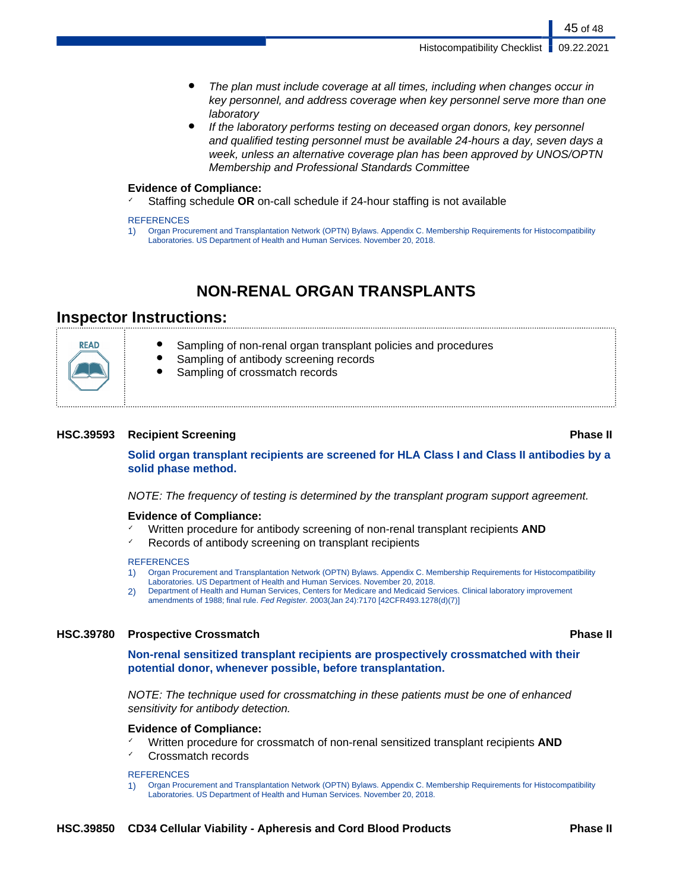- The plan must include coverage at all times, including when changes occur in key personnel, and address coverage when key personnel serve more than one laboratory
- If the laboratory performs testing on deceased organ donors, key personnel and qualified testing personnel must be available 24-hours a day, seven days a week, unless an alternative coverage plan has been approved by UNOS/OPTN Membership and Professional Standards Committee

#### **Evidence of Compliance:**

Staffing schedule OR on-call schedule if 24-hour staffing is not available

#### **REFERENCES**

1) Organ Procurement and Transplantation Network (OPTN) Bylaws. Appendix C. Membership Requirements for Histocompatibility Laboratories. US Department of Health and Human Services. November 20, 2018.

## **NON-RENAL ORGAN TRANSPLANTS**

## **Inspector Instructions:**

READ Sampling of non-renal organ transplant policies and procedures Sampling of antibody screening records Sampling of crossmatch records

#### **HSC.39593 Recipient Screening Phase II**

**Solid organ transplant recipients are screened for HLA Class I and Class II antibodies by a solid phase method.**

NOTE: The frequency of testing is determined by the transplant program support agreement.

#### **Evidence of Compliance:**

- Written procedure for antibody screening of non-renal transplant recipients **AND**
- ✓ Records of antibody screening on transplant recipients

#### **REFERENCES**

- 1) Organ Procurement and Transplantation Network (OPTN) Bylaws. Appendix C. Membership Requirements for Histocompatibility
- Laboratories. US Department of Health and Human Services. November 20, 2018.
- 2) Department of Health and Human Services, Centers for Medicare and Medicaid Services. Clinical laboratory improvement amendments of 1988; final rule. Fed Register. 2003(Jan 24):7170 [42CFR493.1278(d)(7)]

#### **HSC.39780 Prospective Crossmatch Phase II**

**Non-renal sensitized transplant recipients are prospectively crossmatched with their potential donor, whenever possible, before transplantation.**

NOTE: The technique used for crossmatching in these patients must be one of enhanced sensitivity for antibody detection.

#### **Evidence of Compliance:**

- ✓ Written procedure for crossmatch of non-renal sensitized transplant recipients **AND**
- Crossmatch records

#### **REFERENCES**

1) Organ Procurement and Transplantation Network (OPTN) Bylaws. Appendix C. Membership Requirements for Histocompatibility Laboratories. US Department of Health and Human Services. November 20, 2018.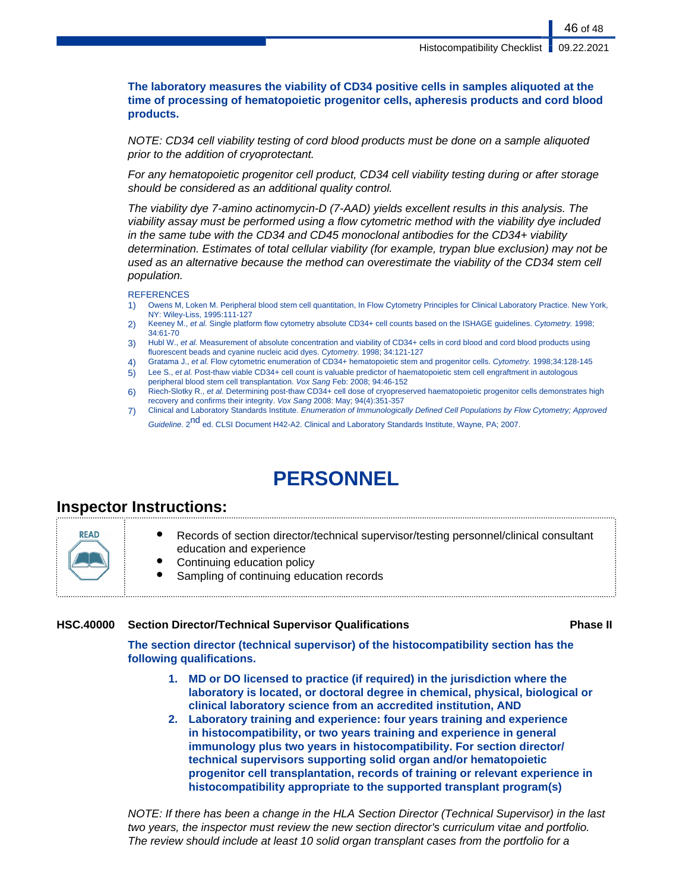46 of 48

### **The laboratory measures the viability of CD34 positive cells in samples aliquoted at the time of processing of hematopoietic progenitor cells, apheresis products and cord blood products.**

NOTE: CD34 cell viability testing of cord blood products must be done on a sample aliquoted prior to the addition of cryoprotectant.

For any hematopoietic progenitor cell product, CD34 cell viability testing during or after storage should be considered as an additional quality control.

The viability dye 7-amino actinomycin-D (7-AAD) yields excellent results in this analysis. The viability assay must be performed using a flow cytometric method with the viability dye included in the same tube with the CD34 and CD45 monoclonal antibodies for the CD34+ viability determination. Estimates of total cellular viability (for example, trypan blue exclusion) may not be used as an alternative because the method can overestimate the viability of the CD34 stem cell population.

#### **REFERENCES**

- 1) Owens M, Loken M. Peripheral blood stem cell quantitation, In Flow Cytometry Principles for Clinical Laboratory Practice. New York, NY: Wiley-Liss, 1995:111-127
- 2) Keeney M., et al. Single platform flow cytometry absolute CD34+ cell counts based on the ISHAGE guidelines. Cytometry. 1998; 34:61-70
- 3) Hubl W., et al. Measurement of absolute concentration and viability of CD34+ cells in cord blood and cord blood products using fluorescent beads and cyanine nucleic acid dyes. Cytometry. 1998; 34:121-127
- 4) Gratama J., et al. Flow cytometric enumeration of CD34+ hematopoietic stem and progenitor cells. Cytometry. 1998;34:128-145
- 5) Lee S., et al. Post-thaw viable CD34+ cell count is valuable predictor of haematopoietic stem cell engraftment in autologous peripheral blood stem cell transplantation. Vox Sang Feb: 2008; 94:46-152
- 6) Riech-Slotky R., et al. Determining post-thaw CD34+ cell dose of cryopreserved haematopoietic progenitor cells demonstrates high recovery and confirms their integrity. Vox Sang 2008: May; 94(4):351-357
- 7) Clinical and Laboratory Standards Institute. Enumeration of Immunologically Defined Cell Populations by Flow Cytometry; Approved Guideline. 2<sup>nd</sup> ed. CLSI Document H42-A2. Clinical and Laboratory Standards Institute, Wayne, PA; 2007.

# **PERSONNEL**

## **Inspector Instructions:**

### **HSC.40000 Section Director/Technical Supervisor Qualifications Phase II**

**The section director (technical supervisor) of the histocompatibility section has the following qualifications.**

- **1. MD or DO licensed to practice (if required) in the jurisdiction where the laboratory is located, or doctoral degree in chemical, physical, biological or clinical laboratory science from an accredited institution, AND**
- **2. Laboratory training and experience: four years training and experience in histocompatibility, or two years training and experience in general immunology plus two years in histocompatibility. For section director/ technical supervisors supporting solid organ and/or hematopoietic progenitor cell transplantation, records of training or relevant experience in histocompatibility appropriate to the supported transplant program(s)**

NOTE: If there has been a change in the HLA Section Director (Technical Supervisor) in the last two years, the inspector must review the new section director's curriculum vitae and portfolio. The review should include at least 10 solid organ transplant cases from the portfolio for a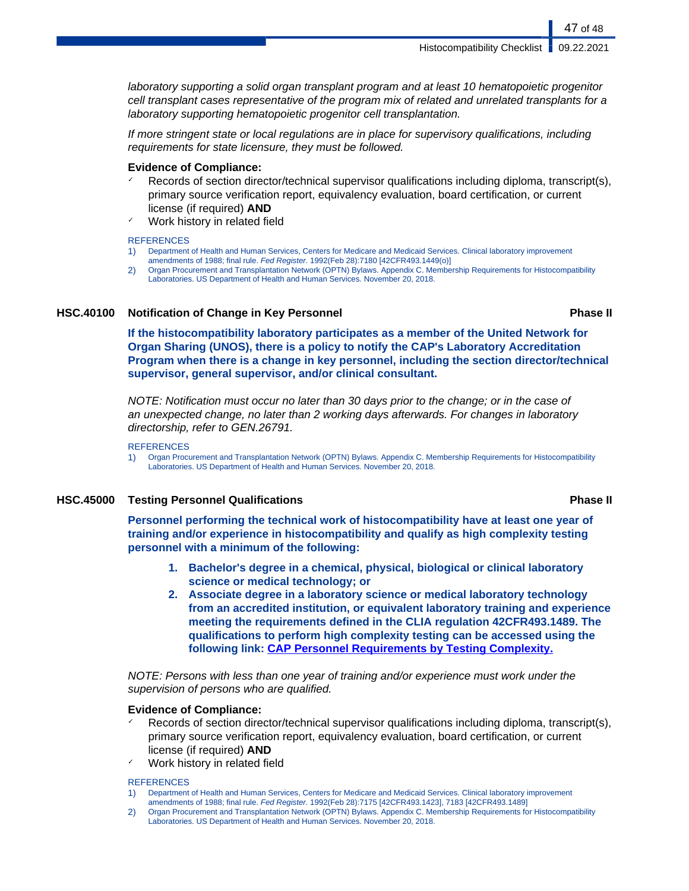Histocompatibility Checklist | 09.22.2021

laboratory supporting a solid organ transplant program and at least 10 hematopoietic progenitor cell transplant cases representative of the program mix of related and unrelated transplants for a laboratory supporting hematopoietic progenitor cell transplantation.

If more stringent state or local regulations are in place for supervisory qualifications, including requirements for state licensure, they must be followed.

#### **Evidence of Compliance:**

- Records of section director/technical supervisor qualifications including diploma, transcript(s), primary source verification report, equivalency evaluation, board certification, or current license (if required) **AND**
- ✓ Work history in related field

#### **REFERENCES**

- 1) Department of Health and Human Services, Centers for Medicare and Medicaid Services. Clinical laboratory improvement amendments of 1988; final rule. Fed Register. 1992(Feb 28):7180 [42CFR493.1449(o)]
- 2) Organ Procurement and Transplantation Network (OPTN) Bylaws. Appendix C. Membership Requirements for Histocompatibility Laboratories. US Department of Health and Human Services. November 20, 2018.

#### **HSC.40100 Notification of Change in Key Personnel Phase II**

**If the histocompatibility laboratory participates as a member of the United Network for Organ Sharing (UNOS), there is a policy to notify the CAP's Laboratory Accreditation Program when there is a change in key personnel, including the section director/technical supervisor, general supervisor, and/or clinical consultant.**

NOTE: Notification must occur no later than 30 days prior to the change; or in the case of an unexpected change, no later than 2 working days afterwards. For changes in laboratory directorship, refer to GEN.26791.

#### **REFERENCES**

1) Organ Procurement and Transplantation Network (OPTN) Bylaws. Appendix C. Membership Requirements for Histocompatibility Laboratories. US Department of Health and Human Services. November 20, 2018.

#### **HSC.45000 Testing Personnel Qualifications Phase II**

### **Personnel performing the technical work of histocompatibility have at least one year of training and/or experience in histocompatibility and qualify as high complexity testing personnel with a minimum of the following:**

- **1. Bachelor's degree in a chemical, physical, biological or clinical laboratory science or medical technology; or**
- **2. Associate degree in a laboratory science or medical laboratory technology from an accredited institution, or equivalent laboratory training and experience meeting the requirements defined in the CLIA regulation 42CFR493.1489. The qualifications to perform high complexity testing can be accessed using the following link: [CAP Personnel Requirements by Testing Complexity.](http://www.cap.org/apps/docs/laboratory_accreditation/build/pdf/personnel_requirements_by_testing_complexity.pdf)**

NOTE: Persons with less than one year of training and/or experience must work under the supervision of persons who are qualified.

#### **Evidence of Compliance:**

- Records of section director/technical supervisor qualifications including diploma, transcript(s), primary source verification report, equivalency evaluation, board certification, or current license (if required) **AND**
- Work history in related field

#### **REFERENCES**

- 1) Department of Health and Human Services, Centers for Medicare and Medicaid Services. Clinical laboratory improvement amendments of 1988; final rule. Fed Register. 1992(Feb 28):7175 [42CFR493.1423], 7183 [42CFR493.1489]
- 2) Organ Procurement and Transplantation Network (OPTN) Bylaws. Appendix C. Membership Requirements for Histocompatibility Laboratories. US Department of Health and Human Services. November 20, 2018.